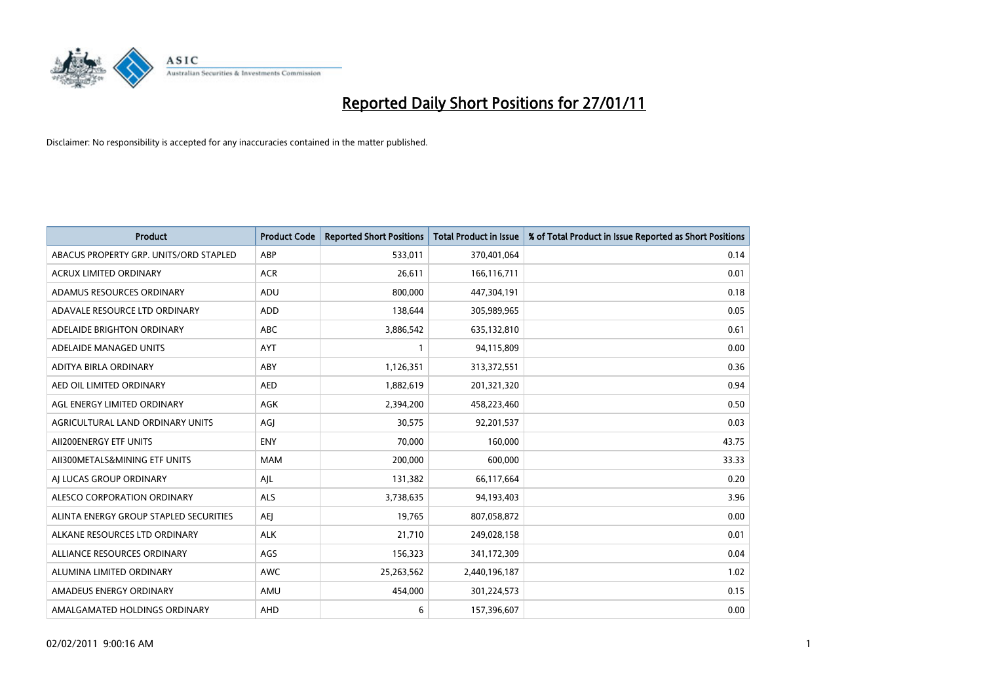

| Product                                | <b>Product Code</b> | <b>Reported Short Positions</b> | Total Product in Issue | % of Total Product in Issue Reported as Short Positions |
|----------------------------------------|---------------------|---------------------------------|------------------------|---------------------------------------------------------|
| ABACUS PROPERTY GRP. UNITS/ORD STAPLED | ABP                 | 533,011                         | 370,401,064            | 0.14                                                    |
| <b>ACRUX LIMITED ORDINARY</b>          | <b>ACR</b>          | 26,611                          | 166,116,711            | 0.01                                                    |
| ADAMUS RESOURCES ORDINARY              | ADU                 | 800,000                         | 447,304,191            | 0.18                                                    |
| ADAVALE RESOURCE LTD ORDINARY          | <b>ADD</b>          | 138,644                         | 305,989,965            | 0.05                                                    |
| ADELAIDE BRIGHTON ORDINARY             | <b>ABC</b>          | 3,886,542                       | 635,132,810            | 0.61                                                    |
| ADELAIDE MANAGED UNITS                 | <b>AYT</b>          |                                 | 94,115,809             | 0.00                                                    |
| ADITYA BIRLA ORDINARY                  | ABY                 | 1,126,351                       | 313,372,551            | 0.36                                                    |
| AED OIL LIMITED ORDINARY               | <b>AED</b>          | 1,882,619                       | 201,321,320            | 0.94                                                    |
| AGL ENERGY LIMITED ORDINARY            | <b>AGK</b>          | 2,394,200                       | 458,223,460            | 0.50                                                    |
| AGRICULTURAL LAND ORDINARY UNITS       | AGI                 | 30.575                          | 92,201,537             | 0.03                                                    |
| AII200ENERGY ETF UNITS                 | <b>ENY</b>          | 70,000                          | 160,000                | 43.75                                                   |
| AII300METALS&MINING ETF UNITS          | <b>MAM</b>          | 200,000                         | 600,000                | 33.33                                                   |
| AI LUCAS GROUP ORDINARY                | AJL                 | 131,382                         | 66,117,664             | 0.20                                                    |
| ALESCO CORPORATION ORDINARY            | <b>ALS</b>          | 3,738,635                       | 94,193,403             | 3.96                                                    |
| ALINTA ENERGY GROUP STAPLED SECURITIES | <b>AEI</b>          | 19,765                          | 807,058,872            | 0.00                                                    |
| ALKANE RESOURCES LTD ORDINARY          | <b>ALK</b>          | 21,710                          | 249,028,158            | 0.01                                                    |
| ALLIANCE RESOURCES ORDINARY            | AGS                 | 156,323                         | 341,172,309            | 0.04                                                    |
| ALUMINA LIMITED ORDINARY               | <b>AWC</b>          | 25,263,562                      | 2,440,196,187          | 1.02                                                    |
| AMADEUS ENERGY ORDINARY                | AMU                 | 454,000                         | 301,224,573            | 0.15                                                    |
| AMALGAMATED HOLDINGS ORDINARY          | <b>AHD</b>          | 6                               | 157,396,607            | 0.00                                                    |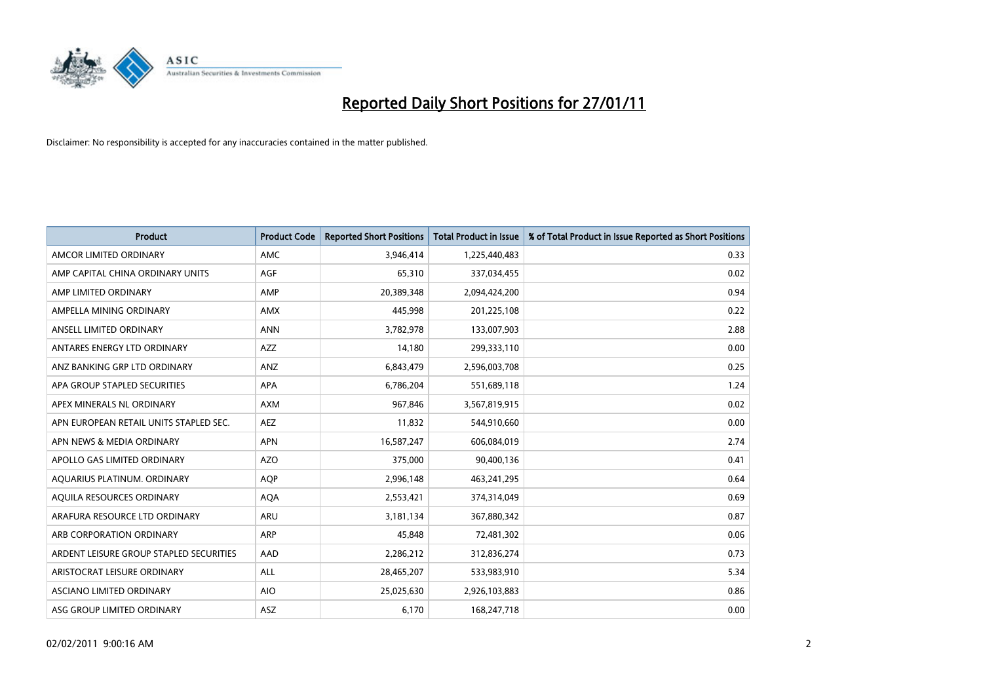

| <b>Product</b>                          | <b>Product Code</b> | <b>Reported Short Positions</b> | Total Product in Issue | % of Total Product in Issue Reported as Short Positions |
|-----------------------------------------|---------------------|---------------------------------|------------------------|---------------------------------------------------------|
| AMCOR LIMITED ORDINARY                  | <b>AMC</b>          | 3,946,414                       | 1,225,440,483          | 0.33                                                    |
| AMP CAPITAL CHINA ORDINARY UNITS        | AGF                 | 65,310                          | 337,034,455            | 0.02                                                    |
| AMP LIMITED ORDINARY                    | AMP                 | 20,389,348                      | 2,094,424,200          | 0.94                                                    |
| AMPELLA MINING ORDINARY                 | <b>AMX</b>          | 445,998                         | 201,225,108            | 0.22                                                    |
| ANSELL LIMITED ORDINARY                 | <b>ANN</b>          | 3,782,978                       | 133,007,903            | 2.88                                                    |
| ANTARES ENERGY LTD ORDINARY             | <b>AZZ</b>          | 14,180                          | 299,333,110            | 0.00                                                    |
| ANZ BANKING GRP LTD ORDINARY            | ANZ                 | 6,843,479                       | 2,596,003,708          | 0.25                                                    |
| APA GROUP STAPLED SECURITIES            | <b>APA</b>          | 6,786,204                       | 551,689,118            | 1.24                                                    |
| APEX MINERALS NL ORDINARY               | <b>AXM</b>          | 967,846                         | 3,567,819,915          | 0.02                                                    |
| APN EUROPEAN RETAIL UNITS STAPLED SEC.  | <b>AEZ</b>          | 11,832                          | 544,910,660            | 0.00                                                    |
| APN NEWS & MEDIA ORDINARY               | <b>APN</b>          | 16,587,247                      | 606,084,019            | 2.74                                                    |
| APOLLO GAS LIMITED ORDINARY             | <b>AZO</b>          | 375,000                         | 90,400,136             | 0.41                                                    |
| AQUARIUS PLATINUM. ORDINARY             | <b>AOP</b>          | 2,996,148                       | 463,241,295            | 0.64                                                    |
| AOUILA RESOURCES ORDINARY               | <b>AQA</b>          | 2,553,421                       | 374,314,049            | 0.69                                                    |
| ARAFURA RESOURCE LTD ORDINARY           | <b>ARU</b>          | 3,181,134                       | 367,880,342            | 0.87                                                    |
| ARB CORPORATION ORDINARY                | <b>ARP</b>          | 45,848                          | 72,481,302             | 0.06                                                    |
| ARDENT LEISURE GROUP STAPLED SECURITIES | AAD                 | 2,286,212                       | 312,836,274            | 0.73                                                    |
| ARISTOCRAT LEISURE ORDINARY             | <b>ALL</b>          | 28,465,207                      | 533,983,910            | 5.34                                                    |
| <b>ASCIANO LIMITED ORDINARY</b>         | <b>AIO</b>          | 25,025,630                      | 2,926,103,883          | 0.86                                                    |
| ASG GROUP LIMITED ORDINARY              | <b>ASZ</b>          | 6,170                           | 168,247,718            | 0.00                                                    |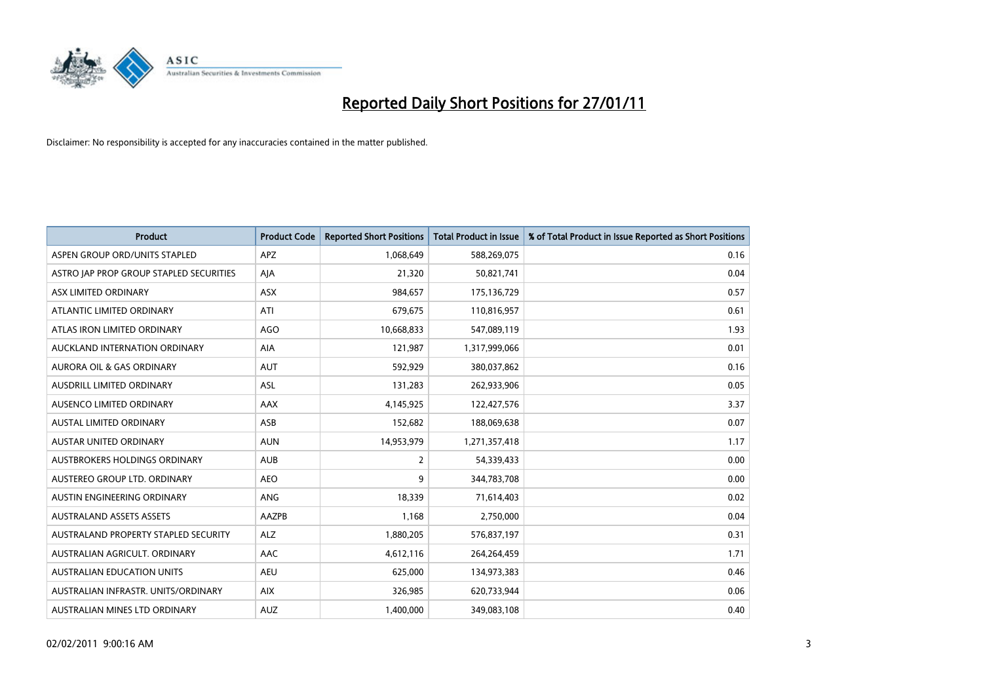

| Product                                 | <b>Product Code</b> | <b>Reported Short Positions</b> | Total Product in Issue | % of Total Product in Issue Reported as Short Positions |
|-----------------------------------------|---------------------|---------------------------------|------------------------|---------------------------------------------------------|
| ASPEN GROUP ORD/UNITS STAPLED           | <b>APZ</b>          | 1,068,649                       | 588,269,075            | 0.16                                                    |
| ASTRO JAP PROP GROUP STAPLED SECURITIES | AJA                 | 21,320                          | 50,821,741             | 0.04                                                    |
| ASX LIMITED ORDINARY                    | ASX                 | 984,657                         | 175,136,729            | 0.57                                                    |
| ATLANTIC LIMITED ORDINARY               | ATI                 | 679,675                         | 110,816,957            | 0.61                                                    |
| ATLAS IRON LIMITED ORDINARY             | <b>AGO</b>          | 10,668,833                      | 547,089,119            | 1.93                                                    |
| AUCKLAND INTERNATION ORDINARY           | <b>AIA</b>          | 121,987                         | 1,317,999,066          | 0.01                                                    |
| <b>AURORA OIL &amp; GAS ORDINARY</b>    | <b>AUT</b>          | 592,929                         | 380,037,862            | 0.16                                                    |
| AUSDRILL LIMITED ORDINARY               | ASL                 | 131,283                         | 262,933,906            | 0.05                                                    |
| AUSENCO LIMITED ORDINARY                | AAX                 | 4,145,925                       | 122,427,576            | 3.37                                                    |
| <b>AUSTAL LIMITED ORDINARY</b>          | ASB                 | 152,682                         | 188,069,638            | 0.07                                                    |
| <b>AUSTAR UNITED ORDINARY</b>           | <b>AUN</b>          | 14,953,979                      | 1,271,357,418          | 1.17                                                    |
| AUSTBROKERS HOLDINGS ORDINARY           | <b>AUB</b>          | 2                               | 54,339,433             | 0.00                                                    |
| AUSTEREO GROUP LTD. ORDINARY            | <b>AEO</b>          | 9                               | 344,783,708            | 0.00                                                    |
| AUSTIN ENGINEERING ORDINARY             | ANG                 | 18.339                          | 71,614,403             | 0.02                                                    |
| <b>AUSTRALAND ASSETS ASSETS</b>         | <b>AAZPB</b>        | 1,168                           | 2,750,000              | 0.04                                                    |
| AUSTRALAND PROPERTY STAPLED SECURITY    | <b>ALZ</b>          | 1,880,205                       | 576,837,197            | 0.31                                                    |
| AUSTRALIAN AGRICULT, ORDINARY           | AAC                 | 4,612,116                       | 264,264,459            | 1.71                                                    |
| AUSTRALIAN EDUCATION UNITS              | <b>AEU</b>          | 625,000                         | 134,973,383            | 0.46                                                    |
| AUSTRALIAN INFRASTR. UNITS/ORDINARY     | <b>AIX</b>          | 326,985                         | 620,733,944            | 0.06                                                    |
| AUSTRALIAN MINES LTD ORDINARY           | <b>AUZ</b>          | 1,400,000                       | 349,083,108            | 0.40                                                    |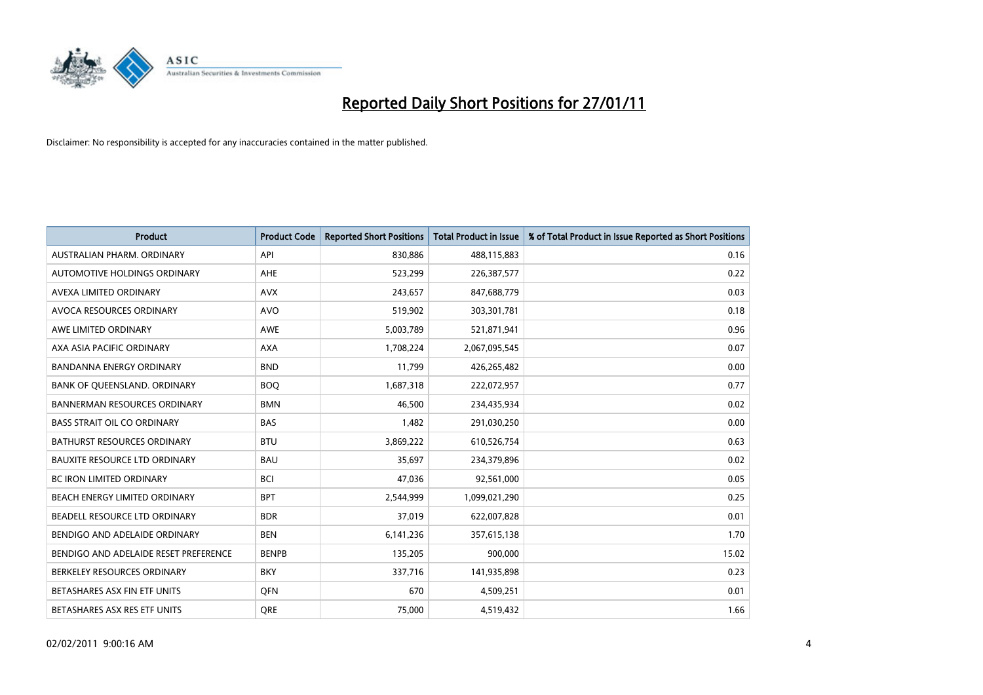

| Product                               | <b>Product Code</b> | <b>Reported Short Positions</b> | <b>Total Product in Issue</b> | % of Total Product in Issue Reported as Short Positions |
|---------------------------------------|---------------------|---------------------------------|-------------------------------|---------------------------------------------------------|
| AUSTRALIAN PHARM. ORDINARY            | API                 | 830,886                         | 488,115,883                   | 0.16                                                    |
| AUTOMOTIVE HOLDINGS ORDINARY          | <b>AHE</b>          | 523,299                         | 226,387,577                   | 0.22                                                    |
| AVEXA LIMITED ORDINARY                | <b>AVX</b>          | 243,657                         | 847,688,779                   | 0.03                                                    |
| AVOCA RESOURCES ORDINARY              | <b>AVO</b>          | 519,902                         | 303,301,781                   | 0.18                                                    |
| AWE LIMITED ORDINARY                  | <b>AWE</b>          | 5,003,789                       | 521,871,941                   | 0.96                                                    |
| AXA ASIA PACIFIC ORDINARY             | <b>AXA</b>          | 1,708,224                       | 2,067,095,545                 | 0.07                                                    |
| BANDANNA ENERGY ORDINARY              | <b>BND</b>          | 11,799                          | 426,265,482                   | 0.00                                                    |
| BANK OF QUEENSLAND. ORDINARY          | <b>BOQ</b>          | 1,687,318                       | 222,072,957                   | 0.77                                                    |
| <b>BANNERMAN RESOURCES ORDINARY</b>   | <b>BMN</b>          | 46,500                          | 234,435,934                   | 0.02                                                    |
| <b>BASS STRAIT OIL CO ORDINARY</b>    | <b>BAS</b>          | 1,482                           | 291,030,250                   | 0.00                                                    |
| <b>BATHURST RESOURCES ORDINARY</b>    | <b>BTU</b>          | 3,869,222                       | 610,526,754                   | 0.63                                                    |
| <b>BAUXITE RESOURCE LTD ORDINARY</b>  | <b>BAU</b>          | 35,697                          | 234,379,896                   | 0.02                                                    |
| <b>BC IRON LIMITED ORDINARY</b>       | <b>BCI</b>          | 47,036                          | 92,561,000                    | 0.05                                                    |
| <b>BEACH ENERGY LIMITED ORDINARY</b>  | <b>BPT</b>          | 2,544,999                       | 1,099,021,290                 | 0.25                                                    |
| BEADELL RESOURCE LTD ORDINARY         | <b>BDR</b>          | 37,019                          | 622,007,828                   | 0.01                                                    |
| BENDIGO AND ADELAIDE ORDINARY         | <b>BEN</b>          | 6,141,236                       | 357,615,138                   | 1.70                                                    |
| BENDIGO AND ADELAIDE RESET PREFERENCE | <b>BENPB</b>        | 135,205                         | 900,000                       | 15.02                                                   |
| BERKELEY RESOURCES ORDINARY           | <b>BKY</b>          | 337,716                         | 141,935,898                   | 0.23                                                    |
| BETASHARES ASX FIN ETF UNITS          | <b>OFN</b>          | 670                             | 4,509,251                     | 0.01                                                    |
| BETASHARES ASX RES ETF UNITS          | <b>ORE</b>          | 75,000                          | 4,519,432                     | 1.66                                                    |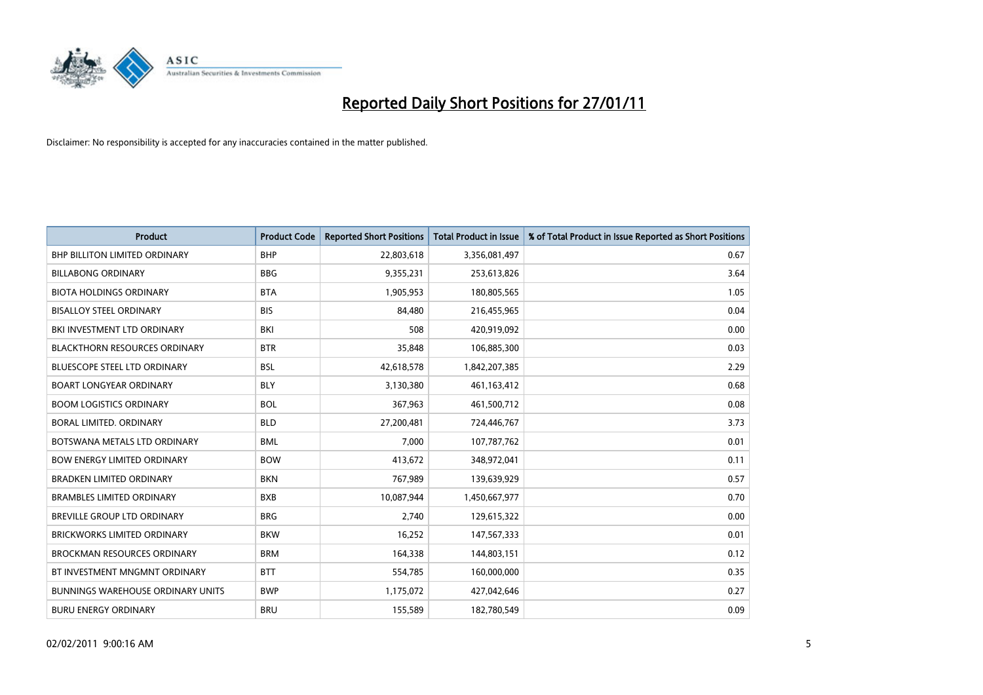

| <b>Product</b>                           | <b>Product Code</b> | <b>Reported Short Positions</b> | <b>Total Product in Issue</b> | % of Total Product in Issue Reported as Short Positions |
|------------------------------------------|---------------------|---------------------------------|-------------------------------|---------------------------------------------------------|
| <b>BHP BILLITON LIMITED ORDINARY</b>     | <b>BHP</b>          | 22,803,618                      | 3,356,081,497                 | 0.67                                                    |
| <b>BILLABONG ORDINARY</b>                | <b>BBG</b>          | 9,355,231                       | 253,613,826                   | 3.64                                                    |
| <b>BIOTA HOLDINGS ORDINARY</b>           | <b>BTA</b>          | 1,905,953                       | 180,805,565                   | 1.05                                                    |
| <b>BISALLOY STEEL ORDINARY</b>           | <b>BIS</b>          | 84,480                          | 216,455,965                   | 0.04                                                    |
| BKI INVESTMENT LTD ORDINARY              | <b>BKI</b>          | 508                             | 420,919,092                   | 0.00                                                    |
| <b>BLACKTHORN RESOURCES ORDINARY</b>     | <b>BTR</b>          | 35,848                          | 106,885,300                   | 0.03                                                    |
| <b>BLUESCOPE STEEL LTD ORDINARY</b>      | <b>BSL</b>          | 42,618,578                      | 1,842,207,385                 | 2.29                                                    |
| <b>BOART LONGYEAR ORDINARY</b>           | <b>BLY</b>          | 3,130,380                       | 461,163,412                   | 0.68                                                    |
| <b>BOOM LOGISTICS ORDINARY</b>           | <b>BOL</b>          | 367,963                         | 461,500,712                   | 0.08                                                    |
| BORAL LIMITED, ORDINARY                  | <b>BLD</b>          | 27,200,481                      | 724,446,767                   | 3.73                                                    |
| BOTSWANA METALS LTD ORDINARY             | <b>BML</b>          | 7,000                           | 107,787,762                   | 0.01                                                    |
| <b>BOW ENERGY LIMITED ORDINARY</b>       | <b>BOW</b>          | 413,672                         | 348,972,041                   | 0.11                                                    |
| <b>BRADKEN LIMITED ORDINARY</b>          | <b>BKN</b>          | 767,989                         | 139,639,929                   | 0.57                                                    |
| <b>BRAMBLES LIMITED ORDINARY</b>         | <b>BXB</b>          | 10,087,944                      | 1,450,667,977                 | 0.70                                                    |
| <b>BREVILLE GROUP LTD ORDINARY</b>       | <b>BRG</b>          | 2,740                           | 129,615,322                   | 0.00                                                    |
| <b>BRICKWORKS LIMITED ORDINARY</b>       | <b>BKW</b>          | 16,252                          | 147,567,333                   | 0.01                                                    |
| <b>BROCKMAN RESOURCES ORDINARY</b>       | <b>BRM</b>          | 164,338                         | 144,803,151                   | 0.12                                                    |
| BT INVESTMENT MNGMNT ORDINARY            | <b>BTT</b>          | 554,785                         | 160,000,000                   | 0.35                                                    |
| <b>BUNNINGS WAREHOUSE ORDINARY UNITS</b> | <b>BWP</b>          | 1,175,072                       | 427,042,646                   | 0.27                                                    |
| <b>BURU ENERGY ORDINARY</b>              | <b>BRU</b>          | 155,589                         | 182,780,549                   | 0.09                                                    |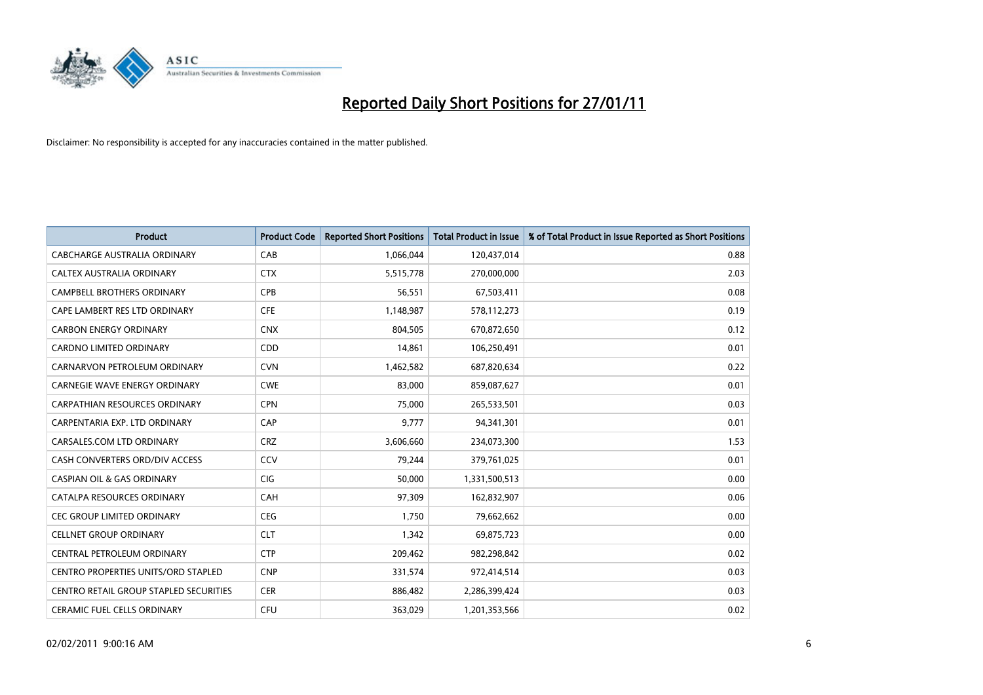

| <b>Product</b>                         | <b>Product Code</b> | <b>Reported Short Positions</b> | Total Product in Issue | % of Total Product in Issue Reported as Short Positions |
|----------------------------------------|---------------------|---------------------------------|------------------------|---------------------------------------------------------|
| <b>CABCHARGE AUSTRALIA ORDINARY</b>    | CAB                 | 1,066,044                       | 120,437,014            | 0.88                                                    |
| CALTEX AUSTRALIA ORDINARY              | <b>CTX</b>          | 5,515,778                       | 270,000,000            | 2.03                                                    |
| <b>CAMPBELL BROTHERS ORDINARY</b>      | CPB                 | 56,551                          | 67,503,411             | 0.08                                                    |
| CAPE LAMBERT RES LTD ORDINARY          | <b>CFE</b>          | 1,148,987                       | 578,112,273            | 0.19                                                    |
| <b>CARBON ENERGY ORDINARY</b>          | <b>CNX</b>          | 804,505                         | 670,872,650            | 0.12                                                    |
| <b>CARDNO LIMITED ORDINARY</b>         | CDD                 | 14,861                          | 106,250,491            | 0.01                                                    |
| CARNARVON PETROLEUM ORDINARY           | <b>CVN</b>          | 1,462,582                       | 687,820,634            | 0.22                                                    |
| <b>CARNEGIE WAVE ENERGY ORDINARY</b>   | <b>CWE</b>          | 83,000                          | 859,087,627            | 0.01                                                    |
| CARPATHIAN RESOURCES ORDINARY          | <b>CPN</b>          | 75,000                          | 265,533,501            | 0.03                                                    |
| CARPENTARIA EXP. LTD ORDINARY          | <b>CAP</b>          | 9,777                           | 94,341,301             | 0.01                                                    |
| CARSALES.COM LTD ORDINARY              | <b>CRZ</b>          | 3,606,660                       | 234,073,300            | 1.53                                                    |
| CASH CONVERTERS ORD/DIV ACCESS         | CCV                 | 79,244                          | 379,761,025            | 0.01                                                    |
| <b>CASPIAN OIL &amp; GAS ORDINARY</b>  | <b>CIG</b>          | 50.000                          | 1,331,500,513          | 0.00                                                    |
| CATALPA RESOURCES ORDINARY             | CAH                 | 97,309                          | 162,832,907            | 0.06                                                    |
| <b>CEC GROUP LIMITED ORDINARY</b>      | <b>CEG</b>          | 1,750                           | 79,662,662             | 0.00                                                    |
| <b>CELLNET GROUP ORDINARY</b>          | <b>CLT</b>          | 1.342                           | 69,875,723             | 0.00                                                    |
| CENTRAL PETROLEUM ORDINARY             | <b>CTP</b>          | 209,462                         | 982,298,842            | 0.02                                                    |
| CENTRO PROPERTIES UNITS/ORD STAPLED    | <b>CNP</b>          | 331,574                         | 972,414,514            | 0.03                                                    |
| CENTRO RETAIL GROUP STAPLED SECURITIES | <b>CER</b>          | 886,482                         | 2,286,399,424          | 0.03                                                    |
| CERAMIC FUEL CELLS ORDINARY            | <b>CFU</b>          | 363,029                         | 1,201,353,566          | 0.02                                                    |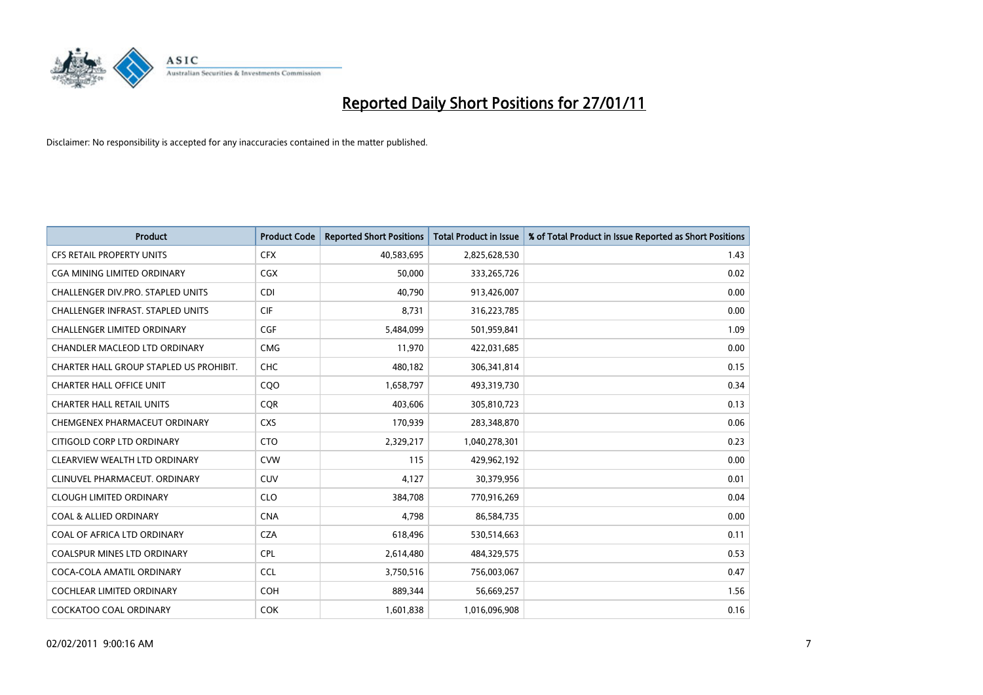

| <b>Product</b>                           | <b>Product Code</b> | <b>Reported Short Positions</b> | <b>Total Product in Issue</b> | % of Total Product in Issue Reported as Short Positions |
|------------------------------------------|---------------------|---------------------------------|-------------------------------|---------------------------------------------------------|
| <b>CFS RETAIL PROPERTY UNITS</b>         | <b>CFX</b>          | 40,583,695                      | 2,825,628,530                 | 1.43                                                    |
| <b>CGA MINING LIMITED ORDINARY</b>       | <b>CGX</b>          | 50,000                          | 333,265,726                   | 0.02                                                    |
| <b>CHALLENGER DIV.PRO. STAPLED UNITS</b> | <b>CDI</b>          | 40,790                          | 913,426,007                   | 0.00                                                    |
| <b>CHALLENGER INFRAST, STAPLED UNITS</b> | <b>CIF</b>          | 8,731                           | 316,223,785                   | 0.00                                                    |
| <b>CHALLENGER LIMITED ORDINARY</b>       | CGF                 | 5,484,099                       | 501,959,841                   | 1.09                                                    |
| <b>CHANDLER MACLEOD LTD ORDINARY</b>     | <b>CMG</b>          | 11,970                          | 422,031,685                   | 0.00                                                    |
| CHARTER HALL GROUP STAPLED US PROHIBIT.  | <b>CHC</b>          | 480,182                         | 306,341,814                   | 0.15                                                    |
| <b>CHARTER HALL OFFICE UNIT</b>          | COO                 | 1,658,797                       | 493,319,730                   | 0.34                                                    |
| <b>CHARTER HALL RETAIL UNITS</b>         | <b>CQR</b>          | 403,606                         | 305,810,723                   | 0.13                                                    |
| CHEMGENEX PHARMACEUT ORDINARY            | <b>CXS</b>          | 170,939                         | 283,348,870                   | 0.06                                                    |
| CITIGOLD CORP LTD ORDINARY               | <b>CTO</b>          | 2,329,217                       | 1,040,278,301                 | 0.23                                                    |
| CLEARVIEW WEALTH LTD ORDINARY            | <b>CVW</b>          | 115                             | 429,962,192                   | 0.00                                                    |
| CLINUVEL PHARMACEUT, ORDINARY            | <b>CUV</b>          | 4,127                           | 30,379,956                    | 0.01                                                    |
| <b>CLOUGH LIMITED ORDINARY</b>           | <b>CLO</b>          | 384,708                         | 770,916,269                   | 0.04                                                    |
| <b>COAL &amp; ALLIED ORDINARY</b>        | <b>CNA</b>          | 4,798                           | 86,584,735                    | 0.00                                                    |
| COAL OF AFRICA LTD ORDINARY              | <b>CZA</b>          | 618,496                         | 530,514,663                   | 0.11                                                    |
| <b>COALSPUR MINES LTD ORDINARY</b>       | <b>CPL</b>          | 2,614,480                       | 484,329,575                   | 0.53                                                    |
| COCA-COLA AMATIL ORDINARY                | <b>CCL</b>          | 3,750,516                       | 756,003,067                   | 0.47                                                    |
| <b>COCHLEAR LIMITED ORDINARY</b>         | <b>COH</b>          | 889,344                         | 56,669,257                    | 1.56                                                    |
| <b>COCKATOO COAL ORDINARY</b>            | <b>COK</b>          | 1,601,838                       | 1,016,096,908                 | 0.16                                                    |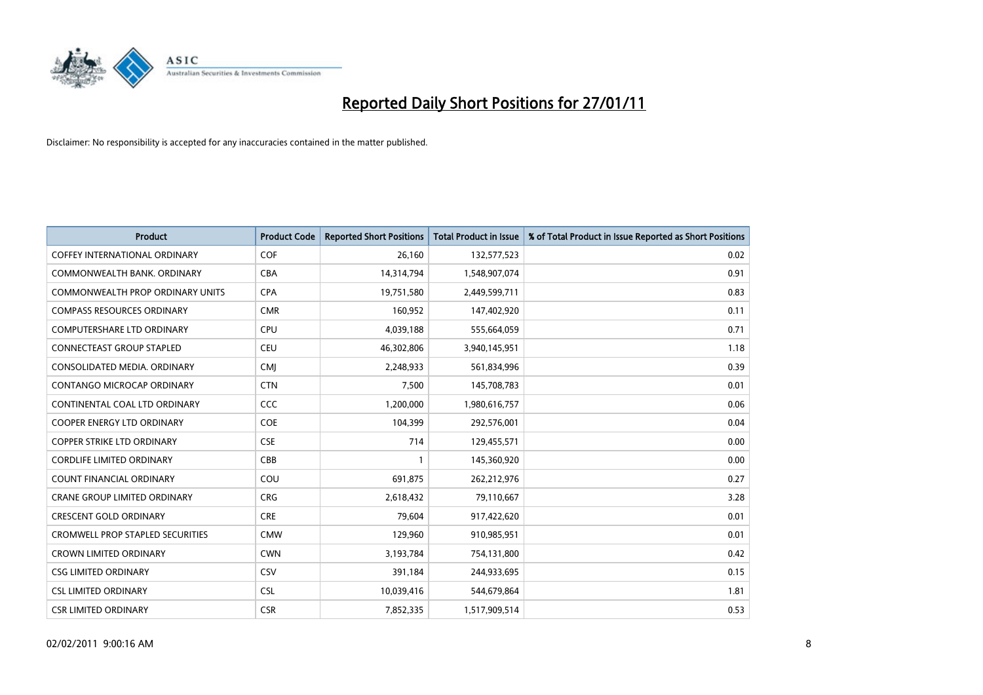

| <b>Product</b>                          | <b>Product Code</b> | <b>Reported Short Positions</b> | <b>Total Product in Issue</b> | % of Total Product in Issue Reported as Short Positions |
|-----------------------------------------|---------------------|---------------------------------|-------------------------------|---------------------------------------------------------|
| <b>COFFEY INTERNATIONAL ORDINARY</b>    | <b>COF</b>          | 26,160                          | 132,577,523                   | 0.02                                                    |
| COMMONWEALTH BANK, ORDINARY             | <b>CBA</b>          | 14,314,794                      | 1,548,907,074                 | 0.91                                                    |
| <b>COMMONWEALTH PROP ORDINARY UNITS</b> | <b>CPA</b>          | 19,751,580                      | 2,449,599,711                 | 0.83                                                    |
| <b>COMPASS RESOURCES ORDINARY</b>       | <b>CMR</b>          | 160,952                         | 147,402,920                   | 0.11                                                    |
| <b>COMPUTERSHARE LTD ORDINARY</b>       | <b>CPU</b>          | 4,039,188                       | 555,664,059                   | 0.71                                                    |
| <b>CONNECTEAST GROUP STAPLED</b>        | <b>CEU</b>          | 46,302,806                      | 3,940,145,951                 | 1.18                                                    |
| CONSOLIDATED MEDIA, ORDINARY            | <b>CMI</b>          | 2,248,933                       | 561,834,996                   | 0.39                                                    |
| <b>CONTANGO MICROCAP ORDINARY</b>       | <b>CTN</b>          | 7,500                           | 145,708,783                   | 0.01                                                    |
| CONTINENTAL COAL LTD ORDINARY           | <b>CCC</b>          | 1,200,000                       | 1,980,616,757                 | 0.06                                                    |
| <b>COOPER ENERGY LTD ORDINARY</b>       | <b>COE</b>          | 104,399                         | 292,576,001                   | 0.04                                                    |
| <b>COPPER STRIKE LTD ORDINARY</b>       | <b>CSE</b>          | 714                             | 129,455,571                   | 0.00                                                    |
| <b>CORDLIFE LIMITED ORDINARY</b>        | CBB                 |                                 | 145,360,920                   | 0.00                                                    |
| <b>COUNT FINANCIAL ORDINARY</b>         | COU                 | 691,875                         | 262,212,976                   | 0.27                                                    |
| <b>CRANE GROUP LIMITED ORDINARY</b>     | <b>CRG</b>          | 2,618,432                       | 79,110,667                    | 3.28                                                    |
| <b>CRESCENT GOLD ORDINARY</b>           | <b>CRE</b>          | 79,604                          | 917,422,620                   | 0.01                                                    |
| <b>CROMWELL PROP STAPLED SECURITIES</b> | <b>CMW</b>          | 129,960                         | 910,985,951                   | 0.01                                                    |
| <b>CROWN LIMITED ORDINARY</b>           | <b>CWN</b>          | 3,193,784                       | 754,131,800                   | 0.42                                                    |
| <b>CSG LIMITED ORDINARY</b>             | CSV                 | 391,184                         | 244,933,695                   | 0.15                                                    |
| <b>CSL LIMITED ORDINARY</b>             | <b>CSL</b>          | 10,039,416                      | 544,679,864                   | 1.81                                                    |
| <b>CSR LIMITED ORDINARY</b>             | <b>CSR</b>          | 7.852.335                       | 1,517,909,514                 | 0.53                                                    |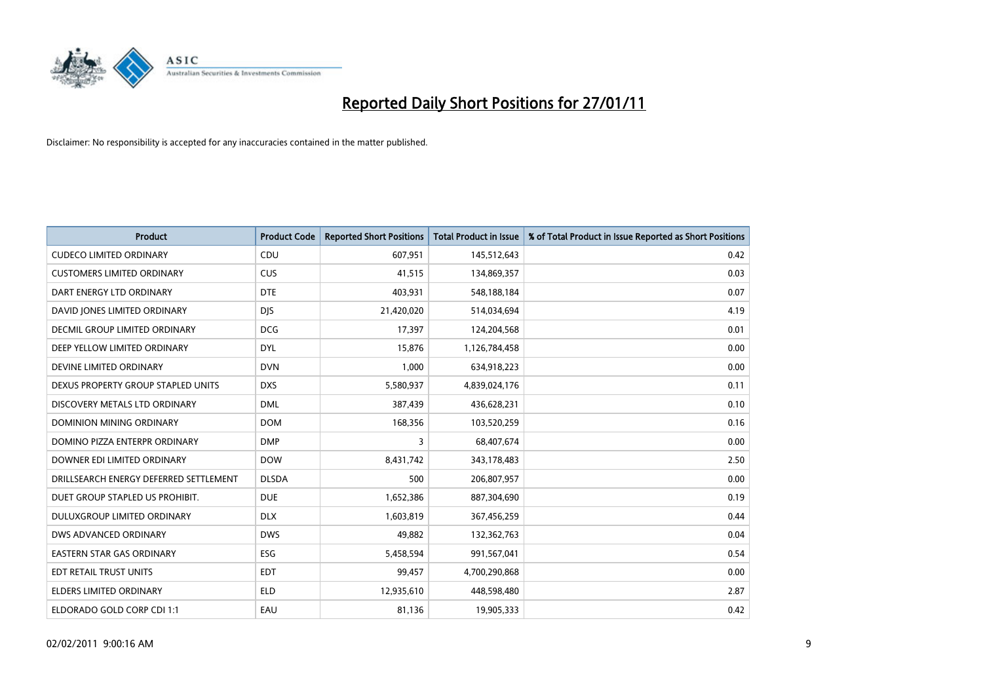

| Product                                | <b>Product Code</b> | <b>Reported Short Positions</b> | <b>Total Product in Issue</b> | % of Total Product in Issue Reported as Short Positions |
|----------------------------------------|---------------------|---------------------------------|-------------------------------|---------------------------------------------------------|
| <b>CUDECO LIMITED ORDINARY</b>         | CDU                 | 607,951                         | 145,512,643                   | 0.42                                                    |
| <b>CUSTOMERS LIMITED ORDINARY</b>      | <b>CUS</b>          | 41,515                          | 134,869,357                   | 0.03                                                    |
| DART ENERGY LTD ORDINARY               | <b>DTE</b>          | 403,931                         | 548,188,184                   | 0.07                                                    |
| DAVID JONES LIMITED ORDINARY           | <b>DJS</b>          | 21,420,020                      | 514,034,694                   | 4.19                                                    |
| <b>DECMIL GROUP LIMITED ORDINARY</b>   | <b>DCG</b>          | 17,397                          | 124,204,568                   | 0.01                                                    |
| DEEP YELLOW LIMITED ORDINARY           | <b>DYL</b>          | 15,876                          | 1,126,784,458                 | 0.00                                                    |
| DEVINE LIMITED ORDINARY                | <b>DVN</b>          | 1,000                           | 634,918,223                   | 0.00                                                    |
| DEXUS PROPERTY GROUP STAPLED UNITS     | <b>DXS</b>          | 5,580,937                       | 4,839,024,176                 | 0.11                                                    |
| DISCOVERY METALS LTD ORDINARY          | <b>DML</b>          | 387,439                         | 436,628,231                   | 0.10                                                    |
| DOMINION MINING ORDINARY               | <b>DOM</b>          | 168,356                         | 103,520,259                   | 0.16                                                    |
| DOMINO PIZZA ENTERPR ORDINARY          | <b>DMP</b>          | 3                               | 68,407,674                    | 0.00                                                    |
| DOWNER EDI LIMITED ORDINARY            | <b>DOW</b>          | 8,431,742                       | 343,178,483                   | 2.50                                                    |
| DRILLSEARCH ENERGY DEFERRED SETTLEMENT | <b>DLSDA</b>        | 500                             | 206,807,957                   | 0.00                                                    |
| DUET GROUP STAPLED US PROHIBIT.        | <b>DUE</b>          | 1,652,386                       | 887,304,690                   | 0.19                                                    |
| DULUXGROUP LIMITED ORDINARY            | <b>DLX</b>          | 1,603,819                       | 367,456,259                   | 0.44                                                    |
| DWS ADVANCED ORDINARY                  | <b>DWS</b>          | 49,882                          | 132,362,763                   | 0.04                                                    |
| <b>EASTERN STAR GAS ORDINARY</b>       | <b>ESG</b>          | 5,458,594                       | 991,567,041                   | 0.54                                                    |
| EDT RETAIL TRUST UNITS                 | <b>EDT</b>          | 99,457                          | 4,700,290,868                 | 0.00                                                    |
| <b>ELDERS LIMITED ORDINARY</b>         | <b>ELD</b>          | 12,935,610                      | 448,598,480                   | 2.87                                                    |
| ELDORADO GOLD CORP CDI 1:1             | EAU                 | 81,136                          | 19,905,333                    | 0.42                                                    |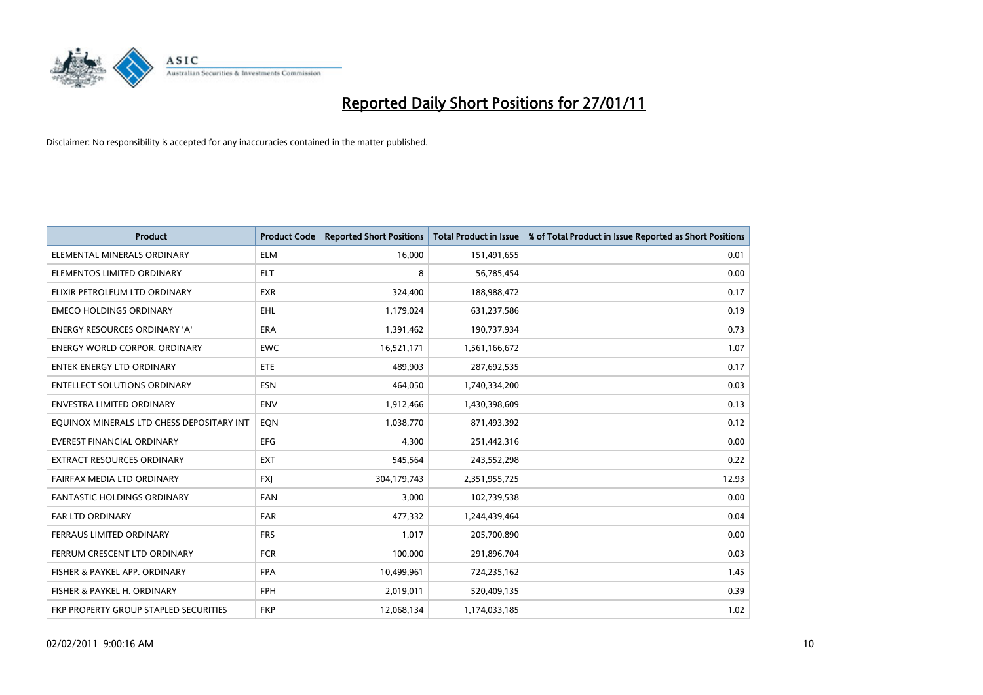

| Product                                   | <b>Product Code</b> | <b>Reported Short Positions</b> | <b>Total Product in Issue</b> | % of Total Product in Issue Reported as Short Positions |
|-------------------------------------------|---------------------|---------------------------------|-------------------------------|---------------------------------------------------------|
| ELEMENTAL MINERALS ORDINARY               | <b>ELM</b>          | 16,000                          | 151,491,655                   | 0.01                                                    |
| ELEMENTOS LIMITED ORDINARY                | <b>ELT</b>          | 8                               | 56,785,454                    | 0.00                                                    |
| ELIXIR PETROLEUM LTD ORDINARY             | <b>EXR</b>          | 324,400                         | 188,988,472                   | 0.17                                                    |
| <b>EMECO HOLDINGS ORDINARY</b>            | <b>EHL</b>          | 1,179,024                       | 631,237,586                   | 0.19                                                    |
| <b>ENERGY RESOURCES ORDINARY 'A'</b>      | <b>ERA</b>          | 1,391,462                       | 190,737,934                   | 0.73                                                    |
| <b>ENERGY WORLD CORPOR, ORDINARY</b>      | <b>EWC</b>          | 16,521,171                      | 1,561,166,672                 | 1.07                                                    |
| <b>ENTEK ENERGY LTD ORDINARY</b>          | <b>ETE</b>          | 489.903                         | 287,692,535                   | 0.17                                                    |
| <b>ENTELLECT SOLUTIONS ORDINARY</b>       | <b>ESN</b>          | 464,050                         | 1,740,334,200                 | 0.03                                                    |
| ENVESTRA LIMITED ORDINARY                 | <b>ENV</b>          | 1,912,466                       | 1,430,398,609                 | 0.13                                                    |
| EOUINOX MINERALS LTD CHESS DEPOSITARY INT | EON                 | 1,038,770                       | 871,493,392                   | 0.12                                                    |
| EVEREST FINANCIAL ORDINARY                | <b>EFG</b>          | 4,300                           | 251,442,316                   | 0.00                                                    |
| EXTRACT RESOURCES ORDINARY                | <b>EXT</b>          | 545,564                         | 243,552,298                   | 0.22                                                    |
| FAIRFAX MEDIA LTD ORDINARY                | <b>FXI</b>          | 304,179,743                     | 2,351,955,725                 | 12.93                                                   |
| <b>FANTASTIC HOLDINGS ORDINARY</b>        | <b>FAN</b>          | 3,000                           | 102,739,538                   | 0.00                                                    |
| <b>FAR LTD ORDINARY</b>                   | <b>FAR</b>          | 477,332                         | 1,244,439,464                 | 0.04                                                    |
| FERRAUS LIMITED ORDINARY                  | <b>FRS</b>          | 1.017                           | 205,700,890                   | 0.00                                                    |
| FERRUM CRESCENT LTD ORDINARY              | <b>FCR</b>          | 100,000                         | 291,896,704                   | 0.03                                                    |
| FISHER & PAYKEL APP. ORDINARY             | <b>FPA</b>          | 10,499,961                      | 724,235,162                   | 1.45                                                    |
| FISHER & PAYKEL H. ORDINARY               | <b>FPH</b>          | 2,019,011                       | 520,409,135                   | 0.39                                                    |
| FKP PROPERTY GROUP STAPLED SECURITIES     | <b>FKP</b>          | 12,068,134                      | 1,174,033,185                 | 1.02                                                    |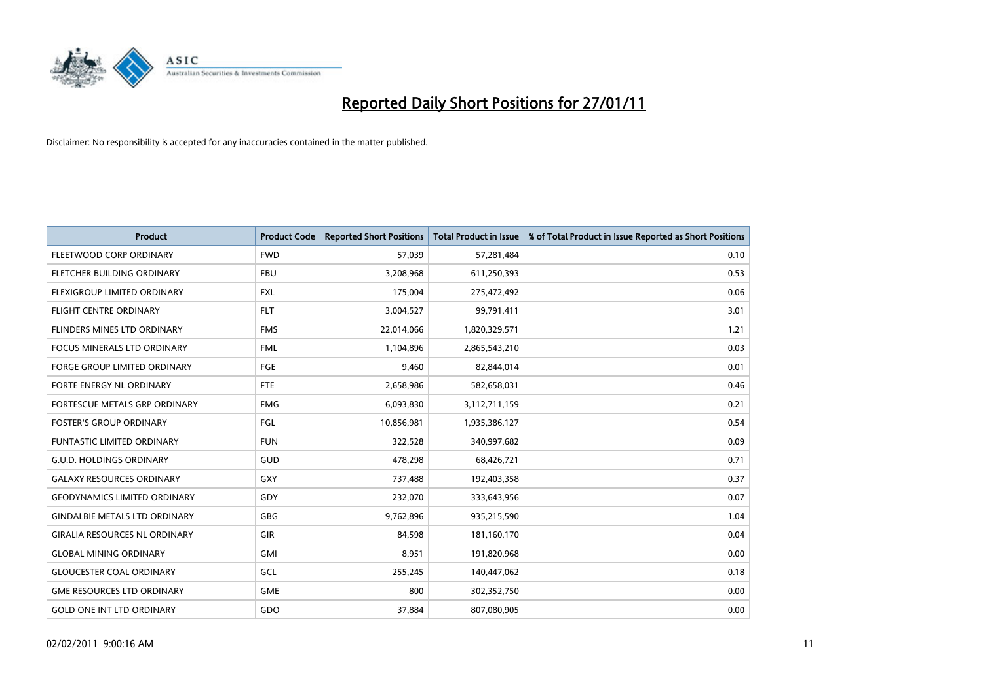

| <b>Product</b>                       | <b>Product Code</b> | <b>Reported Short Positions</b> | <b>Total Product in Issue</b> | % of Total Product in Issue Reported as Short Positions |
|--------------------------------------|---------------------|---------------------------------|-------------------------------|---------------------------------------------------------|
| FLEETWOOD CORP ORDINARY              | <b>FWD</b>          | 57,039                          | 57,281,484                    | 0.10                                                    |
| FLETCHER BUILDING ORDINARY           | <b>FBU</b>          | 3,208,968                       | 611,250,393                   | 0.53                                                    |
| <b>FLEXIGROUP LIMITED ORDINARY</b>   | <b>FXL</b>          | 175,004                         | 275,472,492                   | 0.06                                                    |
| FLIGHT CENTRE ORDINARY               | <b>FLT</b>          | 3,004,527                       | 99,791,411                    | 3.01                                                    |
| FLINDERS MINES LTD ORDINARY          | <b>FMS</b>          | 22,014,066                      | 1,820,329,571                 | 1.21                                                    |
| <b>FOCUS MINERALS LTD ORDINARY</b>   | <b>FML</b>          | 1,104,896                       | 2,865,543,210                 | 0.03                                                    |
| <b>FORGE GROUP LIMITED ORDINARY</b>  | <b>FGE</b>          | 9,460                           | 82,844,014                    | 0.01                                                    |
| <b>FORTE ENERGY NL ORDINARY</b>      | <b>FTE</b>          | 2,658,986                       | 582,658,031                   | 0.46                                                    |
| FORTESCUE METALS GRP ORDINARY        | <b>FMG</b>          | 6,093,830                       | 3,112,711,159                 | 0.21                                                    |
| <b>FOSTER'S GROUP ORDINARY</b>       | <b>FGL</b>          | 10,856,981                      | 1,935,386,127                 | 0.54                                                    |
| <b>FUNTASTIC LIMITED ORDINARY</b>    | <b>FUN</b>          | 322,528                         | 340,997,682                   | 0.09                                                    |
| <b>G.U.D. HOLDINGS ORDINARY</b>      | GUD                 | 478,298                         | 68,426,721                    | 0.71                                                    |
| <b>GALAXY RESOURCES ORDINARY</b>     | GXY                 | 737,488                         | 192,403,358                   | 0.37                                                    |
| <b>GEODYNAMICS LIMITED ORDINARY</b>  | GDY                 | 232,070                         | 333,643,956                   | 0.07                                                    |
| <b>GINDALBIE METALS LTD ORDINARY</b> | GBG                 | 9,762,896                       | 935,215,590                   | 1.04                                                    |
| <b>GIRALIA RESOURCES NL ORDINARY</b> | GIR                 | 84.598                          | 181,160,170                   | 0.04                                                    |
| <b>GLOBAL MINING ORDINARY</b>        | <b>GMI</b>          | 8,951                           | 191,820,968                   | 0.00                                                    |
| <b>GLOUCESTER COAL ORDINARY</b>      | <b>GCL</b>          | 255,245                         | 140,447,062                   | 0.18                                                    |
| <b>GME RESOURCES LTD ORDINARY</b>    | <b>GME</b>          | 800                             | 302,352,750                   | 0.00                                                    |
| <b>GOLD ONE INT LTD ORDINARY</b>     | GDO                 | 37,884                          | 807,080,905                   | 0.00                                                    |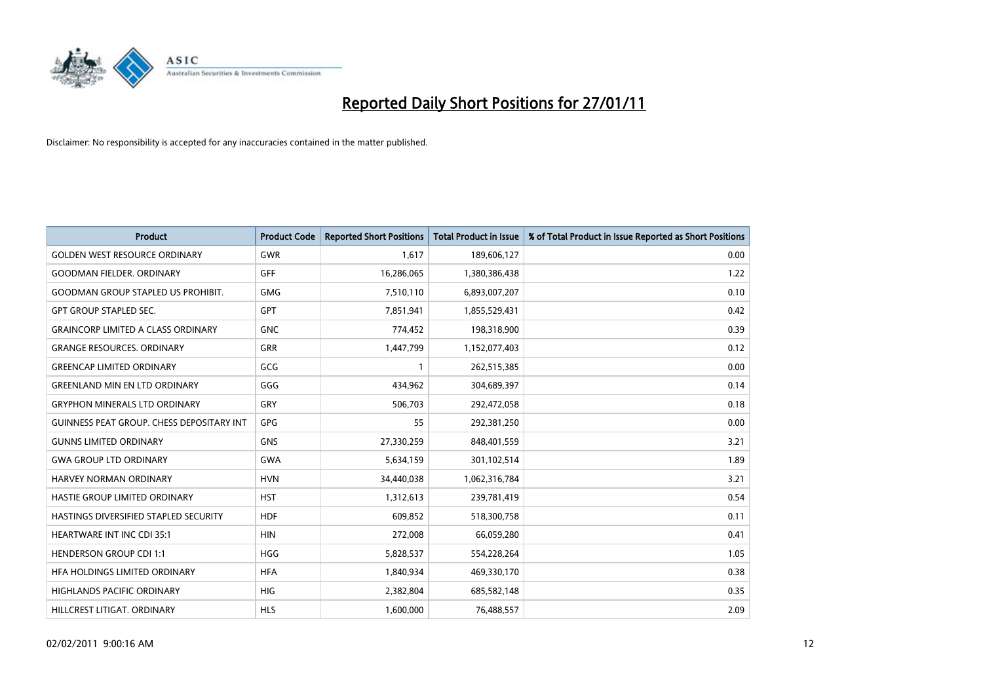

| <b>Product</b>                                   | <b>Product Code</b> | <b>Reported Short Positions</b> | <b>Total Product in Issue</b> | % of Total Product in Issue Reported as Short Positions |
|--------------------------------------------------|---------------------|---------------------------------|-------------------------------|---------------------------------------------------------|
| <b>GOLDEN WEST RESOURCE ORDINARY</b>             | <b>GWR</b>          | 1,617                           | 189,606,127                   | 0.00                                                    |
| <b>GOODMAN FIELDER, ORDINARY</b>                 | <b>GFF</b>          | 16,286,065                      | 1,380,386,438                 | 1.22                                                    |
| <b>GOODMAN GROUP STAPLED US PROHIBIT.</b>        | <b>GMG</b>          | 7,510,110                       | 6,893,007,207                 | 0.10                                                    |
| <b>GPT GROUP STAPLED SEC.</b>                    | GPT                 | 7,851,941                       | 1,855,529,431                 | 0.42                                                    |
| <b>GRAINCORP LIMITED A CLASS ORDINARY</b>        | <b>GNC</b>          | 774,452                         | 198,318,900                   | 0.39                                                    |
| <b>GRANGE RESOURCES, ORDINARY</b>                | GRR                 | 1,447,799                       | 1,152,077,403                 | 0.12                                                    |
| <b>GREENCAP LIMITED ORDINARY</b>                 | GCG                 |                                 | 262,515,385                   | 0.00                                                    |
| <b>GREENLAND MIN EN LTD ORDINARY</b>             | GGG                 | 434,962                         | 304,689,397                   | 0.14                                                    |
| <b>GRYPHON MINERALS LTD ORDINARY</b>             | GRY                 | 506,703                         | 292,472,058                   | 0.18                                                    |
| <b>GUINNESS PEAT GROUP. CHESS DEPOSITARY INT</b> | <b>GPG</b>          | 55                              | 292,381,250                   | 0.00                                                    |
| <b>GUNNS LIMITED ORDINARY</b>                    | <b>GNS</b>          | 27,330,259                      | 848,401,559                   | 3.21                                                    |
| <b>GWA GROUP LTD ORDINARY</b>                    | <b>GWA</b>          | 5,634,159                       | 301,102,514                   | 1.89                                                    |
| <b>HARVEY NORMAN ORDINARY</b>                    | <b>HVN</b>          | 34,440,038                      | 1,062,316,784                 | 3.21                                                    |
| HASTIE GROUP LIMITED ORDINARY                    | <b>HST</b>          | 1,312,613                       | 239,781,419                   | 0.54                                                    |
| HASTINGS DIVERSIFIED STAPLED SECURITY            | <b>HDF</b>          | 609,852                         | 518,300,758                   | 0.11                                                    |
| <b>HEARTWARE INT INC CDI 35:1</b>                | <b>HIN</b>          | 272,008                         | 66,059,280                    | 0.41                                                    |
| <b>HENDERSON GROUP CDI 1:1</b>                   | <b>HGG</b>          | 5,828,537                       | 554,228,264                   | 1.05                                                    |
| HFA HOLDINGS LIMITED ORDINARY                    | <b>HFA</b>          | 1,840,934                       | 469,330,170                   | 0.38                                                    |
| <b>HIGHLANDS PACIFIC ORDINARY</b>                | <b>HIG</b>          | 2,382,804                       | 685,582,148                   | 0.35                                                    |
| HILLCREST LITIGAT, ORDINARY                      | <b>HLS</b>          | 1,600,000                       | 76,488,557                    | 2.09                                                    |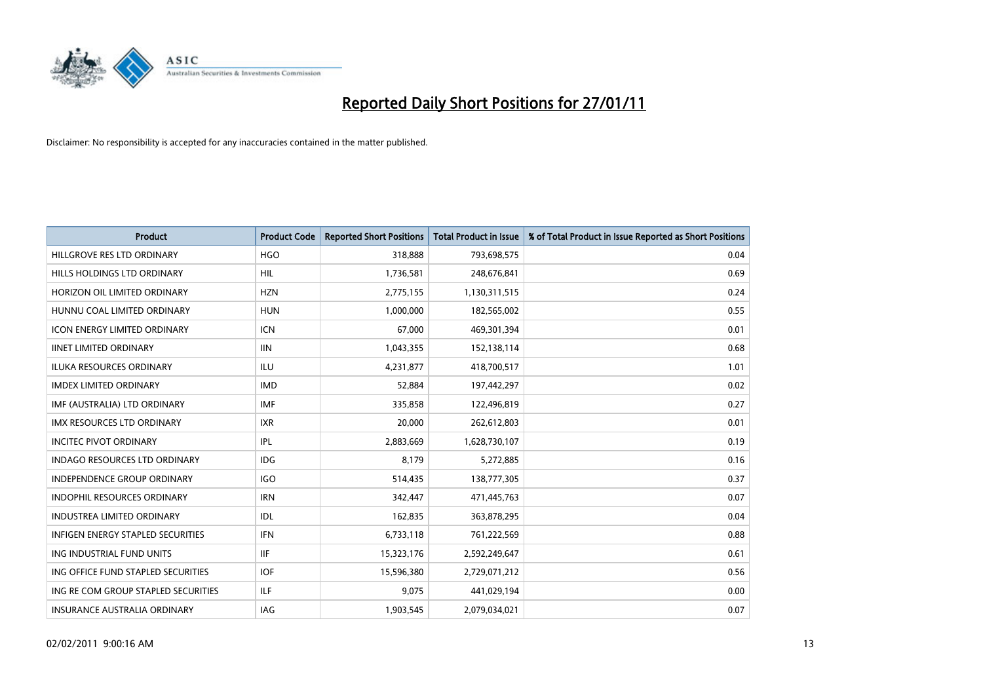

| <b>Product</b>                           | <b>Product Code</b> | <b>Reported Short Positions</b> | <b>Total Product in Issue</b> | % of Total Product in Issue Reported as Short Positions |
|------------------------------------------|---------------------|---------------------------------|-------------------------------|---------------------------------------------------------|
| HILLGROVE RES LTD ORDINARY               | <b>HGO</b>          | 318,888                         | 793,698,575                   | 0.04                                                    |
| HILLS HOLDINGS LTD ORDINARY              | HIL                 | 1,736,581                       | 248,676,841                   | 0.69                                                    |
| HORIZON OIL LIMITED ORDINARY             | <b>HZN</b>          | 2,775,155                       | 1,130,311,515                 | 0.24                                                    |
| HUNNU COAL LIMITED ORDINARY              | <b>HUN</b>          | 1,000,000                       | 182,565,002                   | 0.55                                                    |
| <b>ICON ENERGY LIMITED ORDINARY</b>      | <b>ICN</b>          | 67,000                          | 469,301,394                   | 0.01                                                    |
| <b>IINET LIMITED ORDINARY</b>            | <b>IIN</b>          | 1,043,355                       | 152,138,114                   | 0.68                                                    |
| <b>ILUKA RESOURCES ORDINARY</b>          | <b>ILU</b>          | 4,231,877                       | 418,700,517                   | 1.01                                                    |
| <b>IMDEX LIMITED ORDINARY</b>            | <b>IMD</b>          | 52,884                          | 197,442,297                   | 0.02                                                    |
| IMF (AUSTRALIA) LTD ORDINARY             | <b>IMF</b>          | 335,858                         | 122,496,819                   | 0.27                                                    |
| <b>IMX RESOURCES LTD ORDINARY</b>        | <b>IXR</b>          | 20,000                          | 262,612,803                   | 0.01                                                    |
| <b>INCITEC PIVOT ORDINARY</b>            | IPL                 | 2,883,669                       | 1,628,730,107                 | 0.19                                                    |
| <b>INDAGO RESOURCES LTD ORDINARY</b>     | IDG                 | 8,179                           | 5,272,885                     | 0.16                                                    |
| <b>INDEPENDENCE GROUP ORDINARY</b>       | <b>IGO</b>          | 514,435                         | 138,777,305                   | 0.37                                                    |
| <b>INDOPHIL RESOURCES ORDINARY</b>       | <b>IRN</b>          | 342,447                         | 471,445,763                   | 0.07                                                    |
| <b>INDUSTREA LIMITED ORDINARY</b>        | IDL                 | 162,835                         | 363,878,295                   | 0.04                                                    |
| <b>INFIGEN ENERGY STAPLED SECURITIES</b> | <b>IFN</b>          | 6,733,118                       | 761,222,569                   | 0.88                                                    |
| ING INDUSTRIAL FUND UNITS                | <b>IIF</b>          | 15,323,176                      | 2,592,249,647                 | 0.61                                                    |
| ING OFFICE FUND STAPLED SECURITIES       | <b>IOF</b>          | 15,596,380                      | 2,729,071,212                 | 0.56                                                    |
| ING RE COM GROUP STAPLED SECURITIES      | ILF.                | 9,075                           | 441,029,194                   | 0.00                                                    |
| INSURANCE AUSTRALIA ORDINARY             | IAG                 | 1,903,545                       | 2,079,034,021                 | 0.07                                                    |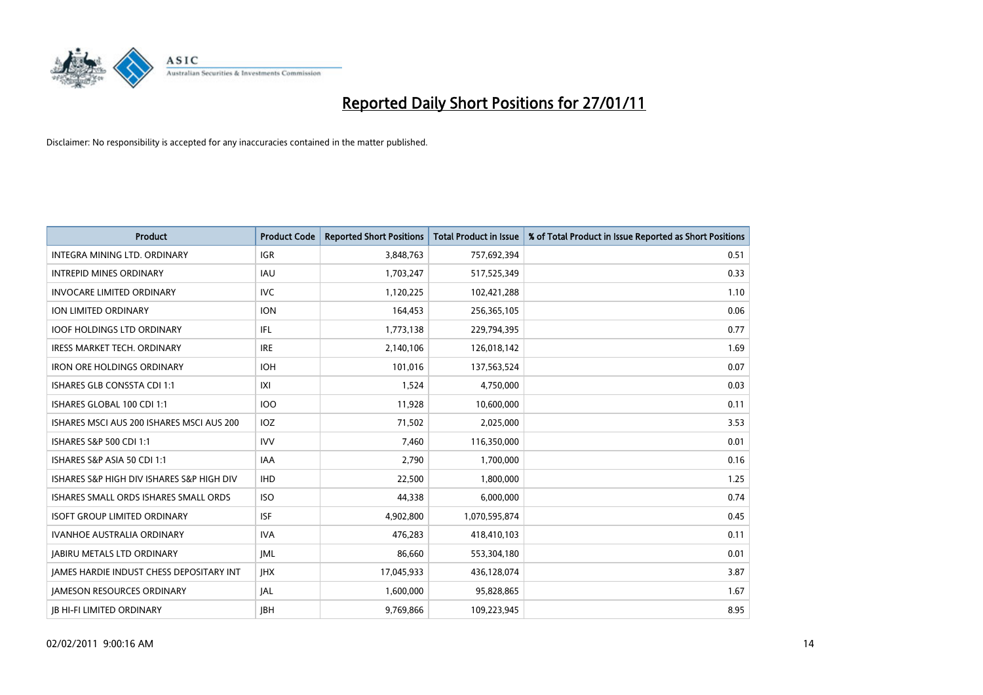

| Product                                   | <b>Product Code</b> | <b>Reported Short Positions</b> | <b>Total Product in Issue</b> | % of Total Product in Issue Reported as Short Positions |
|-------------------------------------------|---------------------|---------------------------------|-------------------------------|---------------------------------------------------------|
| INTEGRA MINING LTD, ORDINARY              | <b>IGR</b>          | 3,848,763                       | 757,692,394                   | 0.51                                                    |
| <b>INTREPID MINES ORDINARY</b>            | <b>IAU</b>          | 1,703,247                       | 517,525,349                   | 0.33                                                    |
| <b>INVOCARE LIMITED ORDINARY</b>          | <b>IVC</b>          | 1,120,225                       | 102,421,288                   | 1.10                                                    |
| ION LIMITED ORDINARY                      | <b>ION</b>          | 164,453                         | 256,365,105                   | 0.06                                                    |
| <b>IOOF HOLDINGS LTD ORDINARY</b>         | IFL.                | 1,773,138                       | 229,794,395                   | 0.77                                                    |
| <b>IRESS MARKET TECH. ORDINARY</b>        | <b>IRE</b>          | 2,140,106                       | 126,018,142                   | 1.69                                                    |
| <b>IRON ORE HOLDINGS ORDINARY</b>         | <b>IOH</b>          | 101.016                         | 137,563,524                   | 0.07                                                    |
| <b>ISHARES GLB CONSSTA CDI 1:1</b>        | X                   | 1,524                           | 4,750,000                     | 0.03                                                    |
| ISHARES GLOBAL 100 CDI 1:1                | <b>IOO</b>          | 11,928                          | 10,600,000                    | 0.11                                                    |
| ISHARES MSCI AUS 200 ISHARES MSCI AUS 200 | <b>IOZ</b>          | 71,502                          | 2,025,000                     | 3.53                                                    |
| ISHARES S&P 500 CDI 1:1                   | <b>IVV</b>          | 7,460                           | 116,350,000                   | 0.01                                                    |
| ISHARES S&P ASIA 50 CDI 1:1               | <b>IAA</b>          | 2,790                           | 1,700,000                     | 0.16                                                    |
| ISHARES S&P HIGH DIV ISHARES S&P HIGH DIV | <b>IHD</b>          | 22,500                          | 1,800,000                     | 1.25                                                    |
| ISHARES SMALL ORDS ISHARES SMALL ORDS     | <b>ISO</b>          | 44,338                          | 6,000,000                     | 0.74                                                    |
| <b>ISOFT GROUP LIMITED ORDINARY</b>       | <b>ISF</b>          | 4,902,800                       | 1,070,595,874                 | 0.45                                                    |
| <b>IVANHOE AUSTRALIA ORDINARY</b>         | <b>IVA</b>          | 476,283                         | 418,410,103                   | 0.11                                                    |
| <b>JABIRU METALS LTD ORDINARY</b>         | IML                 | 86,660                          | 553,304,180                   | 0.01                                                    |
| JAMES HARDIE INDUST CHESS DEPOSITARY INT  | <b>IHX</b>          | 17,045,933                      | 436,128,074                   | 3.87                                                    |
| <b>IAMESON RESOURCES ORDINARY</b>         | <b>JAL</b>          | 1,600,000                       | 95,828,865                    | 1.67                                                    |
| <b>IB HI-FI LIMITED ORDINARY</b>          | <b>IBH</b>          | 9,769,866                       | 109,223,945                   | 8.95                                                    |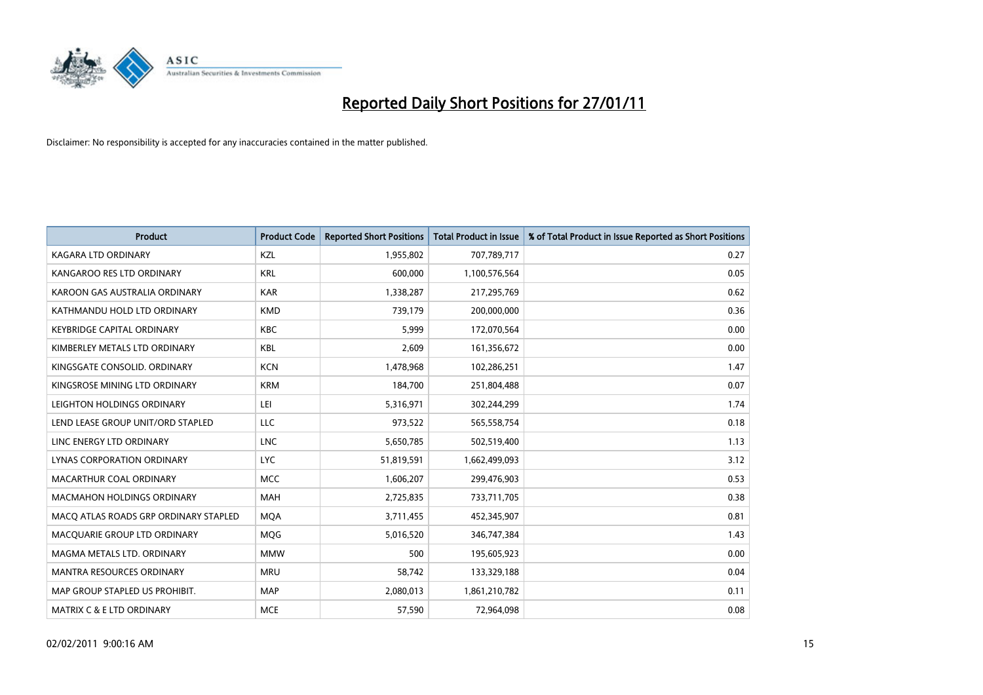

| <b>Product</b>                        | <b>Product Code</b> | <b>Reported Short Positions</b> | Total Product in Issue | % of Total Product in Issue Reported as Short Positions |
|---------------------------------------|---------------------|---------------------------------|------------------------|---------------------------------------------------------|
| <b>KAGARA LTD ORDINARY</b>            | KZL                 | 1,955,802                       | 707,789,717            | 0.27                                                    |
| KANGAROO RES LTD ORDINARY             | <b>KRL</b>          | 600,000                         | 1,100,576,564          | 0.05                                                    |
| KAROON GAS AUSTRALIA ORDINARY         | <b>KAR</b>          | 1,338,287                       | 217,295,769            | 0.62                                                    |
| KATHMANDU HOLD LTD ORDINARY           | <b>KMD</b>          | 739,179                         | 200,000,000            | 0.36                                                    |
| <b>KEYBRIDGE CAPITAL ORDINARY</b>     | <b>KBC</b>          | 5,999                           | 172,070,564            | 0.00                                                    |
| KIMBERLEY METALS LTD ORDINARY         | KBL                 | 2,609                           | 161,356,672            | 0.00                                                    |
| KINGSGATE CONSOLID. ORDINARY          | <b>KCN</b>          | 1,478,968                       | 102,286,251            | 1.47                                                    |
| KINGSROSE MINING LTD ORDINARY         | <b>KRM</b>          | 184,700                         | 251,804,488            | 0.07                                                    |
| LEIGHTON HOLDINGS ORDINARY            | LEI                 | 5,316,971                       | 302,244,299            | 1.74                                                    |
| LEND LEASE GROUP UNIT/ORD STAPLED     | <b>LLC</b>          | 973,522                         | 565,558,754            | 0.18                                                    |
| LINC ENERGY LTD ORDINARY              | <b>LNC</b>          | 5,650,785                       | 502,519,400            | 1.13                                                    |
| LYNAS CORPORATION ORDINARY            | <b>LYC</b>          | 51,819,591                      | 1,662,499,093          | 3.12                                                    |
| MACARTHUR COAL ORDINARY               | <b>MCC</b>          | 1,606,207                       | 299,476,903            | 0.53                                                    |
| <b>MACMAHON HOLDINGS ORDINARY</b>     | <b>MAH</b>          | 2,725,835                       | 733,711,705            | 0.38                                                    |
| MACO ATLAS ROADS GRP ORDINARY STAPLED | <b>MOA</b>          | 3,711,455                       | 452,345,907            | 0.81                                                    |
| MACQUARIE GROUP LTD ORDINARY          | <b>MOG</b>          | 5,016,520                       | 346,747,384            | 1.43                                                    |
| MAGMA METALS LTD. ORDINARY            | <b>MMW</b>          | 500                             | 195,605,923            | 0.00                                                    |
| MANTRA RESOURCES ORDINARY             | <b>MRU</b>          | 58,742                          | 133,329,188            | 0.04                                                    |
| MAP GROUP STAPLED US PROHIBIT.        | <b>MAP</b>          | 2,080,013                       | 1,861,210,782          | 0.11                                                    |
| MATRIX C & E LTD ORDINARY             | <b>MCE</b>          | 57,590                          | 72,964,098             | 0.08                                                    |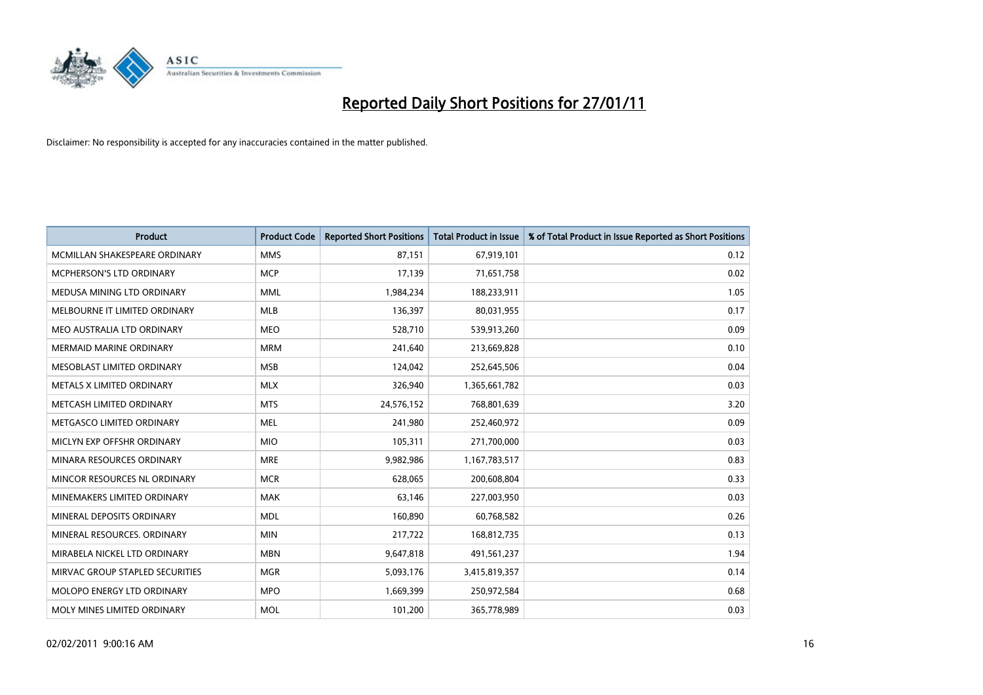

| <b>Product</b>                  | <b>Product Code</b> | <b>Reported Short Positions</b> | <b>Total Product in Issue</b> | % of Total Product in Issue Reported as Short Positions |
|---------------------------------|---------------------|---------------------------------|-------------------------------|---------------------------------------------------------|
| MCMILLAN SHAKESPEARE ORDINARY   | <b>MMS</b>          | 87,151                          | 67,919,101                    | 0.12                                                    |
| MCPHERSON'S LTD ORDINARY        | <b>MCP</b>          | 17,139                          | 71,651,758                    | 0.02                                                    |
| MEDUSA MINING LTD ORDINARY      | <b>MML</b>          | 1,984,234                       | 188,233,911                   | 1.05                                                    |
| MELBOURNE IT LIMITED ORDINARY   | <b>MLB</b>          | 136,397                         | 80,031,955                    | 0.17                                                    |
| MEO AUSTRALIA LTD ORDINARY      | <b>MEO</b>          | 528,710                         | 539,913,260                   | 0.09                                                    |
| <b>MERMAID MARINE ORDINARY</b>  | <b>MRM</b>          | 241,640                         | 213,669,828                   | 0.10                                                    |
| MESOBLAST LIMITED ORDINARY      | <b>MSB</b>          | 124,042                         | 252,645,506                   | 0.04                                                    |
| METALS X LIMITED ORDINARY       | <b>MLX</b>          | 326,940                         | 1,365,661,782                 | 0.03                                                    |
| METCASH LIMITED ORDINARY        | <b>MTS</b>          | 24,576,152                      | 768,801,639                   | 3.20                                                    |
| METGASCO LIMITED ORDINARY       | <b>MEL</b>          | 241,980                         | 252,460,972                   | 0.09                                                    |
| MICLYN EXP OFFSHR ORDINARY      | <b>MIO</b>          | 105,311                         | 271,700,000                   | 0.03                                                    |
| MINARA RESOURCES ORDINARY       | <b>MRE</b>          | 9,982,986                       | 1,167,783,517                 | 0.83                                                    |
| MINCOR RESOURCES NL ORDINARY    | <b>MCR</b>          | 628,065                         | 200,608,804                   | 0.33                                                    |
| MINEMAKERS LIMITED ORDINARY     | <b>MAK</b>          | 63,146                          | 227,003,950                   | 0.03                                                    |
| MINERAL DEPOSITS ORDINARY       | <b>MDL</b>          | 160,890                         | 60,768,582                    | 0.26                                                    |
| MINERAL RESOURCES. ORDINARY     | <b>MIN</b>          | 217,722                         | 168,812,735                   | 0.13                                                    |
| MIRABELA NICKEL LTD ORDINARY    | <b>MBN</b>          | 9,647,818                       | 491,561,237                   | 1.94                                                    |
| MIRVAC GROUP STAPLED SECURITIES | <b>MGR</b>          | 5,093,176                       | 3,415,819,357                 | 0.14                                                    |
| MOLOPO ENERGY LTD ORDINARY      | <b>MPO</b>          | 1,669,399                       | 250,972,584                   | 0.68                                                    |
| MOLY MINES LIMITED ORDINARY     | <b>MOL</b>          | 101,200                         | 365,778,989                   | 0.03                                                    |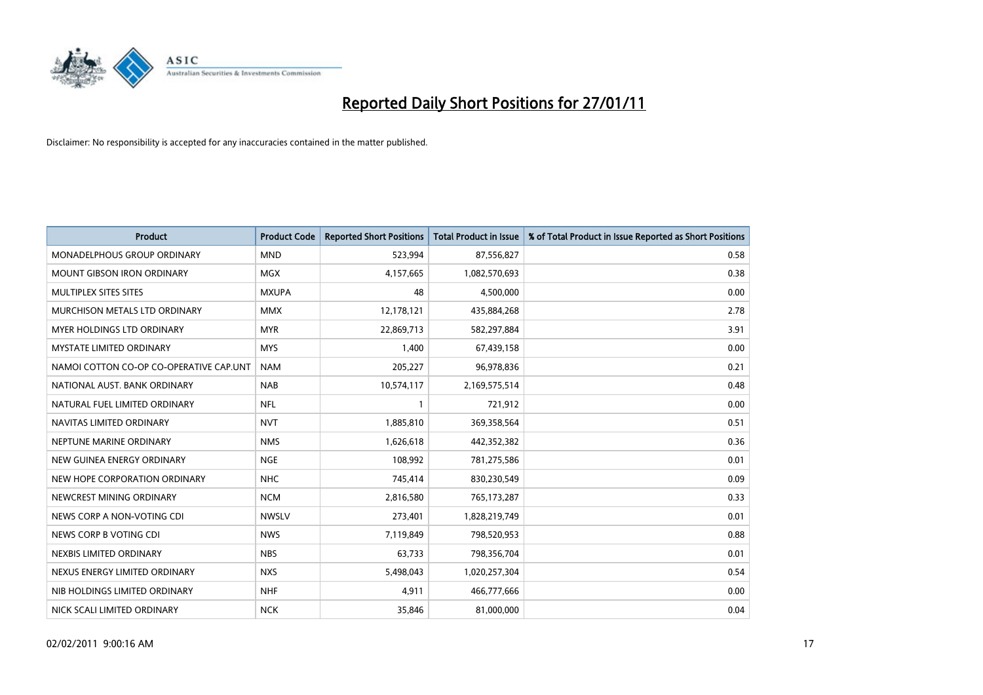

| <b>Product</b>                          | <b>Product Code</b> | <b>Reported Short Positions</b> | <b>Total Product in Issue</b> | % of Total Product in Issue Reported as Short Positions |
|-----------------------------------------|---------------------|---------------------------------|-------------------------------|---------------------------------------------------------|
| MONADELPHOUS GROUP ORDINARY             | <b>MND</b>          | 523,994                         | 87,556,827                    | 0.58                                                    |
| MOUNT GIBSON IRON ORDINARY              | <b>MGX</b>          | 4,157,665                       | 1,082,570,693                 | 0.38                                                    |
| MULTIPLEX SITES SITES                   | <b>MXUPA</b>        | 48                              | 4,500,000                     | 0.00                                                    |
| MURCHISON METALS LTD ORDINARY           | <b>MMX</b>          | 12,178,121                      | 435,884,268                   | 2.78                                                    |
| <b>MYER HOLDINGS LTD ORDINARY</b>       | <b>MYR</b>          | 22,869,713                      | 582,297,884                   | 3.91                                                    |
| <b>MYSTATE LIMITED ORDINARY</b>         | <b>MYS</b>          | 1,400                           | 67,439,158                    | 0.00                                                    |
| NAMOI COTTON CO-OP CO-OPERATIVE CAP.UNT | <b>NAM</b>          | 205,227                         | 96,978,836                    | 0.21                                                    |
| NATIONAL AUST. BANK ORDINARY            | <b>NAB</b>          | 10,574,117                      | 2,169,575,514                 | 0.48                                                    |
| NATURAL FUEL LIMITED ORDINARY           | <b>NFL</b>          |                                 | 721,912                       | 0.00                                                    |
| NAVITAS LIMITED ORDINARY                | <b>NVT</b>          | 1,885,810                       | 369,358,564                   | 0.51                                                    |
| NEPTUNE MARINE ORDINARY                 | <b>NMS</b>          | 1,626,618                       | 442,352,382                   | 0.36                                                    |
| NEW GUINEA ENERGY ORDINARY              | <b>NGE</b>          | 108,992                         | 781,275,586                   | 0.01                                                    |
| NEW HOPE CORPORATION ORDINARY           | <b>NHC</b>          | 745,414                         | 830,230,549                   | 0.09                                                    |
| NEWCREST MINING ORDINARY                | <b>NCM</b>          | 2,816,580                       | 765,173,287                   | 0.33                                                    |
| NEWS CORP A NON-VOTING CDI              | <b>NWSLV</b>        | 273,401                         | 1,828,219,749                 | 0.01                                                    |
| NEWS CORP B VOTING CDI                  | <b>NWS</b>          | 7,119,849                       | 798,520,953                   | 0.88                                                    |
| NEXBIS LIMITED ORDINARY                 | <b>NBS</b>          | 63,733                          | 798,356,704                   | 0.01                                                    |
| NEXUS ENERGY LIMITED ORDINARY           | <b>NXS</b>          | 5,498,043                       | 1,020,257,304                 | 0.54                                                    |
| NIB HOLDINGS LIMITED ORDINARY           | <b>NHF</b>          | 4,911                           | 466,777,666                   | 0.00                                                    |
| NICK SCALI LIMITED ORDINARY             | <b>NCK</b>          | 35,846                          | 81,000,000                    | 0.04                                                    |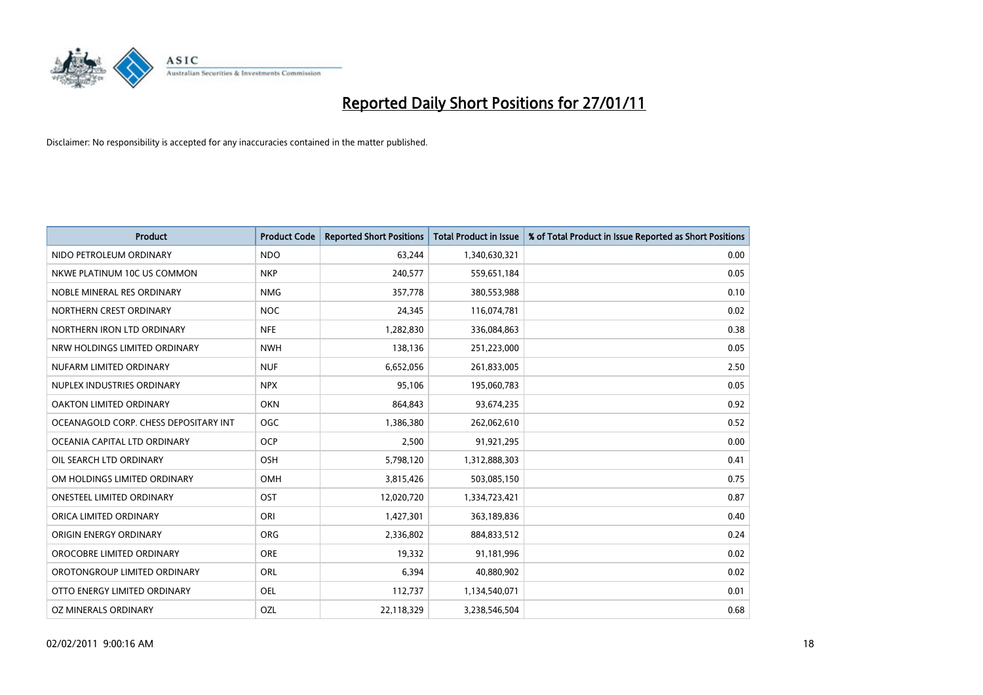

| <b>Product</b>                        | <b>Product Code</b> | <b>Reported Short Positions</b> | <b>Total Product in Issue</b> | % of Total Product in Issue Reported as Short Positions |
|---------------------------------------|---------------------|---------------------------------|-------------------------------|---------------------------------------------------------|
| NIDO PETROLEUM ORDINARY               | <b>NDO</b>          | 63,244                          | 1,340,630,321                 | 0.00                                                    |
| NKWE PLATINUM 10C US COMMON           | <b>NKP</b>          | 240,577                         | 559,651,184                   | 0.05                                                    |
| NOBLE MINERAL RES ORDINARY            | <b>NMG</b>          | 357,778                         | 380,553,988                   | 0.10                                                    |
| NORTHERN CREST ORDINARY               | <b>NOC</b>          | 24,345                          | 116,074,781                   | 0.02                                                    |
| NORTHERN IRON LTD ORDINARY            | <b>NFE</b>          | 1,282,830                       | 336,084,863                   | 0.38                                                    |
| NRW HOLDINGS LIMITED ORDINARY         | <b>NWH</b>          | 138,136                         | 251,223,000                   | 0.05                                                    |
| NUFARM LIMITED ORDINARY               | <b>NUF</b>          | 6,652,056                       | 261,833,005                   | 2.50                                                    |
| NUPLEX INDUSTRIES ORDINARY            | <b>NPX</b>          | 95,106                          | 195,060,783                   | 0.05                                                    |
| OAKTON LIMITED ORDINARY               | <b>OKN</b>          | 864,843                         | 93,674,235                    | 0.92                                                    |
| OCEANAGOLD CORP. CHESS DEPOSITARY INT | <b>OGC</b>          | 1,386,380                       | 262,062,610                   | 0.52                                                    |
| OCEANIA CAPITAL LTD ORDINARY          | <b>OCP</b>          | 2,500                           | 91,921,295                    | 0.00                                                    |
| OIL SEARCH LTD ORDINARY               | OSH                 | 5,798,120                       | 1,312,888,303                 | 0.41                                                    |
| OM HOLDINGS LIMITED ORDINARY          | <b>OMH</b>          | 3,815,426                       | 503,085,150                   | 0.75                                                    |
| <b>ONESTEEL LIMITED ORDINARY</b>      | OST                 | 12,020,720                      | 1,334,723,421                 | 0.87                                                    |
| ORICA LIMITED ORDINARY                | ORI                 | 1,427,301                       | 363,189,836                   | 0.40                                                    |
| ORIGIN ENERGY ORDINARY                | <b>ORG</b>          | 2,336,802                       | 884,833,512                   | 0.24                                                    |
| OROCOBRE LIMITED ORDINARY             | <b>ORE</b>          | 19,332                          | 91,181,996                    | 0.02                                                    |
| OROTONGROUP LIMITED ORDINARY          | <b>ORL</b>          | 6,394                           | 40,880,902                    | 0.02                                                    |
| OTTO ENERGY LIMITED ORDINARY          | <b>OEL</b>          | 112,737                         | 1,134,540,071                 | 0.01                                                    |
| OZ MINERALS ORDINARY                  | OZL                 | 22,118,329                      | 3,238,546,504                 | 0.68                                                    |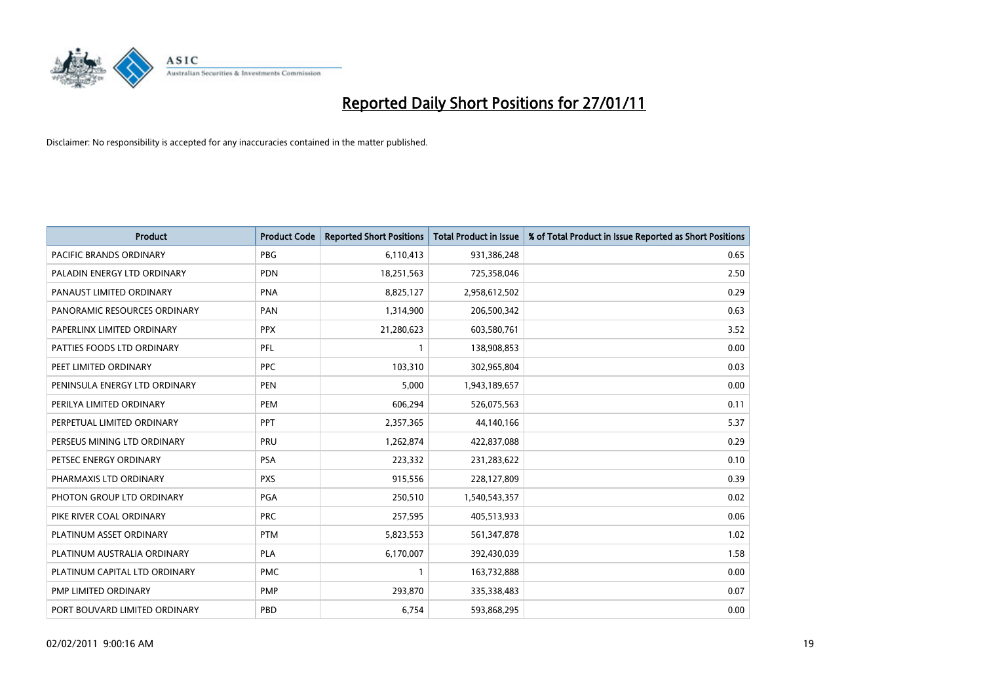

| Product                        | <b>Product Code</b> | <b>Reported Short Positions</b> | Total Product in Issue | % of Total Product in Issue Reported as Short Positions |
|--------------------------------|---------------------|---------------------------------|------------------------|---------------------------------------------------------|
| <b>PACIFIC BRANDS ORDINARY</b> | <b>PBG</b>          | 6,110,413                       | 931,386,248            | 0.65                                                    |
| PALADIN ENERGY LTD ORDINARY    | <b>PDN</b>          | 18,251,563                      | 725,358,046            | 2.50                                                    |
| PANAUST LIMITED ORDINARY       | <b>PNA</b>          | 8,825,127                       | 2,958,612,502          | 0.29                                                    |
| PANORAMIC RESOURCES ORDINARY   | PAN                 | 1,314,900                       | 206,500,342            | 0.63                                                    |
| PAPERLINX LIMITED ORDINARY     | <b>PPX</b>          | 21,280,623                      | 603,580,761            | 3.52                                                    |
| PATTIES FOODS LTD ORDINARY     | PFL                 |                                 | 138,908,853            | 0.00                                                    |
| PEET LIMITED ORDINARY          | <b>PPC</b>          | 103,310                         | 302,965,804            | 0.03                                                    |
| PENINSULA ENERGY LTD ORDINARY  | <b>PEN</b>          | 5,000                           | 1,943,189,657          | 0.00                                                    |
| PERILYA LIMITED ORDINARY       | <b>PEM</b>          | 606,294                         | 526,075,563            | 0.11                                                    |
| PERPETUAL LIMITED ORDINARY     | <b>PPT</b>          | 2,357,365                       | 44,140,166             | 5.37                                                    |
| PERSEUS MINING LTD ORDINARY    | PRU                 | 1,262,874                       | 422,837,088            | 0.29                                                    |
| PETSEC ENERGY ORDINARY         | PSA                 | 223,332                         | 231,283,622            | 0.10                                                    |
| PHARMAXIS LTD ORDINARY         | <b>PXS</b>          | 915,556                         | 228,127,809            | 0.39                                                    |
| PHOTON GROUP LTD ORDINARY      | <b>PGA</b>          | 250,510                         | 1,540,543,357          | 0.02                                                    |
| PIKE RIVER COAL ORDINARY       | <b>PRC</b>          | 257,595                         | 405,513,933            | 0.06                                                    |
| PLATINUM ASSET ORDINARY        | <b>PTM</b>          | 5,823,553                       | 561,347,878            | 1.02                                                    |
| PLATINUM AUSTRALIA ORDINARY    | <b>PLA</b>          | 6,170,007                       | 392,430,039            | 1.58                                                    |
| PLATINUM CAPITAL LTD ORDINARY  | <b>PMC</b>          |                                 | 163,732,888            | 0.00                                                    |
| PMP LIMITED ORDINARY           | <b>PMP</b>          | 293,870                         | 335,338,483            | 0.07                                                    |
| PORT BOUVARD LIMITED ORDINARY  | PBD                 | 6,754                           | 593,868,295            | 0.00                                                    |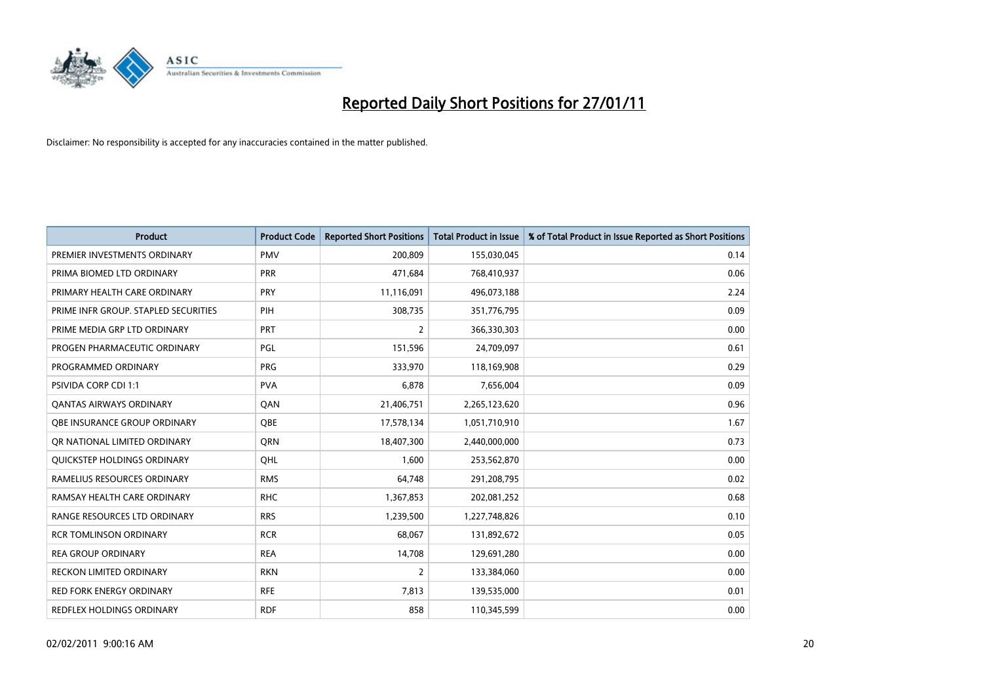

| <b>Product</b>                       | <b>Product Code</b> | <b>Reported Short Positions</b> | <b>Total Product in Issue</b> | % of Total Product in Issue Reported as Short Positions |
|--------------------------------------|---------------------|---------------------------------|-------------------------------|---------------------------------------------------------|
| PREMIER INVESTMENTS ORDINARY         | <b>PMV</b>          | 200,809                         | 155,030,045                   | 0.14                                                    |
| PRIMA BIOMED LTD ORDINARY            | <b>PRR</b>          | 471,684                         | 768,410,937                   | 0.06                                                    |
| PRIMARY HEALTH CARE ORDINARY         | <b>PRY</b>          | 11,116,091                      | 496,073,188                   | 2.24                                                    |
| PRIME INFR GROUP. STAPLED SECURITIES | PIH                 | 308,735                         | 351,776,795                   | 0.09                                                    |
| PRIME MEDIA GRP LTD ORDINARY         | PRT                 | 2                               | 366,330,303                   | 0.00                                                    |
| PROGEN PHARMACEUTIC ORDINARY         | PGL                 | 151,596                         | 24,709,097                    | 0.61                                                    |
| PROGRAMMED ORDINARY                  | <b>PRG</b>          | 333,970                         | 118,169,908                   | 0.29                                                    |
| PSIVIDA CORP CDI 1:1                 | <b>PVA</b>          | 6,878                           | 7,656,004                     | 0.09                                                    |
| <b>QANTAS AIRWAYS ORDINARY</b>       | QAN                 | 21,406,751                      | 2,265,123,620                 | 0.96                                                    |
| OBE INSURANCE GROUP ORDINARY         | <b>OBE</b>          | 17,578,134                      | 1,051,710,910                 | 1.67                                                    |
| OR NATIONAL LIMITED ORDINARY         | <b>ORN</b>          | 18,407,300                      | 2,440,000,000                 | 0.73                                                    |
| <b>OUICKSTEP HOLDINGS ORDINARY</b>   | OHL                 | 1,600                           | 253,562,870                   | 0.00                                                    |
| RAMELIUS RESOURCES ORDINARY          | <b>RMS</b>          | 64,748                          | 291,208,795                   | 0.02                                                    |
| RAMSAY HEALTH CARE ORDINARY          | <b>RHC</b>          | 1,367,853                       | 202,081,252                   | 0.68                                                    |
| RANGE RESOURCES LTD ORDINARY         | <b>RRS</b>          | 1,239,500                       | 1,227,748,826                 | 0.10                                                    |
| <b>RCR TOMLINSON ORDINARY</b>        | <b>RCR</b>          | 68,067                          | 131,892,672                   | 0.05                                                    |
| <b>REA GROUP ORDINARY</b>            | <b>REA</b>          | 14,708                          | 129,691,280                   | 0.00                                                    |
| <b>RECKON LIMITED ORDINARY</b>       | <b>RKN</b>          | 2                               | 133,384,060                   | 0.00                                                    |
| <b>RED FORK ENERGY ORDINARY</b>      | <b>RFE</b>          | 7,813                           | 139,535,000                   | 0.01                                                    |
| REDFLEX HOLDINGS ORDINARY            | <b>RDF</b>          | 858                             | 110,345,599                   | 0.00                                                    |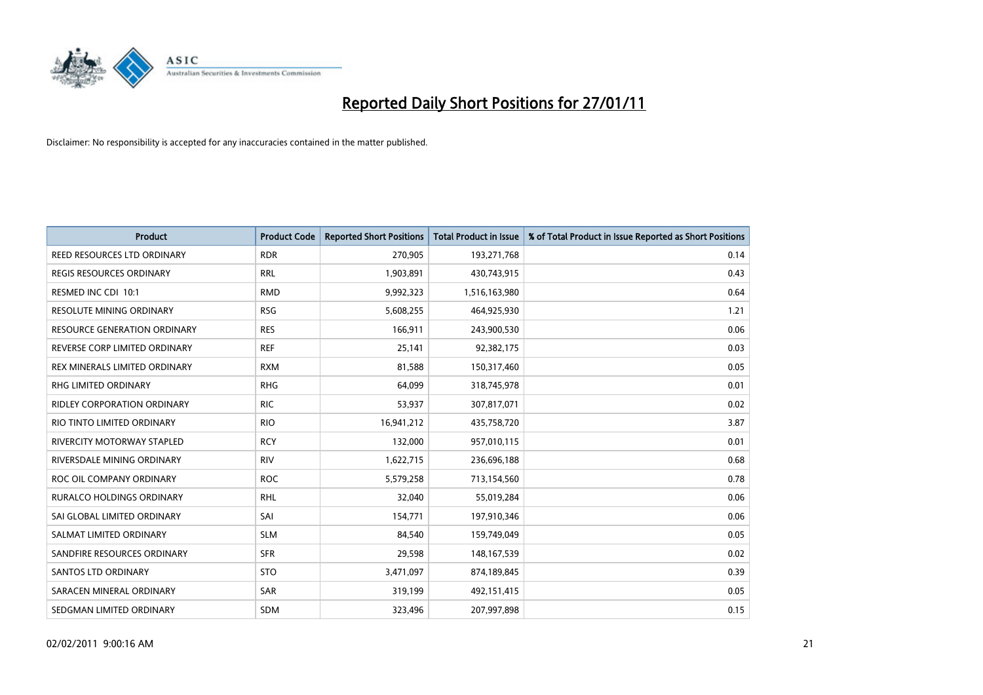

| <b>Product</b>                      | <b>Product Code</b> | <b>Reported Short Positions</b> | <b>Total Product in Issue</b> | % of Total Product in Issue Reported as Short Positions |
|-------------------------------------|---------------------|---------------------------------|-------------------------------|---------------------------------------------------------|
| REED RESOURCES LTD ORDINARY         | <b>RDR</b>          | 270,905                         | 193,271,768                   | 0.14                                                    |
| REGIS RESOURCES ORDINARY            | <b>RRL</b>          | 1,903,891                       | 430,743,915                   | 0.43                                                    |
| RESMED INC CDI 10:1                 | <b>RMD</b>          | 9,992,323                       | 1,516,163,980                 | 0.64                                                    |
| RESOLUTE MINING ORDINARY            | <b>RSG</b>          | 5,608,255                       | 464,925,930                   | 1.21                                                    |
| <b>RESOURCE GENERATION ORDINARY</b> | <b>RES</b>          | 166,911                         | 243,900,530                   | 0.06                                                    |
| REVERSE CORP LIMITED ORDINARY       | <b>REF</b>          | 25,141                          | 92,382,175                    | 0.03                                                    |
| REX MINERALS LIMITED ORDINARY       | <b>RXM</b>          | 81,588                          | 150,317,460                   | 0.05                                                    |
| <b>RHG LIMITED ORDINARY</b>         | <b>RHG</b>          | 64,099                          | 318,745,978                   | 0.01                                                    |
| RIDLEY CORPORATION ORDINARY         | <b>RIC</b>          | 53,937                          | 307,817,071                   | 0.02                                                    |
| RIO TINTO LIMITED ORDINARY          | <b>RIO</b>          | 16,941,212                      | 435,758,720                   | 3.87                                                    |
| RIVERCITY MOTORWAY STAPLED          | <b>RCY</b>          | 132,000                         | 957,010,115                   | 0.01                                                    |
| RIVERSDALE MINING ORDINARY          | <b>RIV</b>          | 1,622,715                       | 236,696,188                   | 0.68                                                    |
| ROC OIL COMPANY ORDINARY            | <b>ROC</b>          | 5,579,258                       | 713,154,560                   | 0.78                                                    |
| <b>RURALCO HOLDINGS ORDINARY</b>    | <b>RHL</b>          | 32,040                          | 55,019,284                    | 0.06                                                    |
| SAI GLOBAL LIMITED ORDINARY         | SAI                 | 154,771                         | 197,910,346                   | 0.06                                                    |
| SALMAT LIMITED ORDINARY             | <b>SLM</b>          | 84,540                          | 159,749,049                   | 0.05                                                    |
| SANDFIRE RESOURCES ORDINARY         | <b>SFR</b>          | 29,598                          | 148, 167, 539                 | 0.02                                                    |
| <b>SANTOS LTD ORDINARY</b>          | <b>STO</b>          | 3,471,097                       | 874,189,845                   | 0.39                                                    |
| SARACEN MINERAL ORDINARY            | SAR                 | 319,199                         | 492,151,415                   | 0.05                                                    |
| SEDGMAN LIMITED ORDINARY            | <b>SDM</b>          | 323,496                         | 207,997,898                   | 0.15                                                    |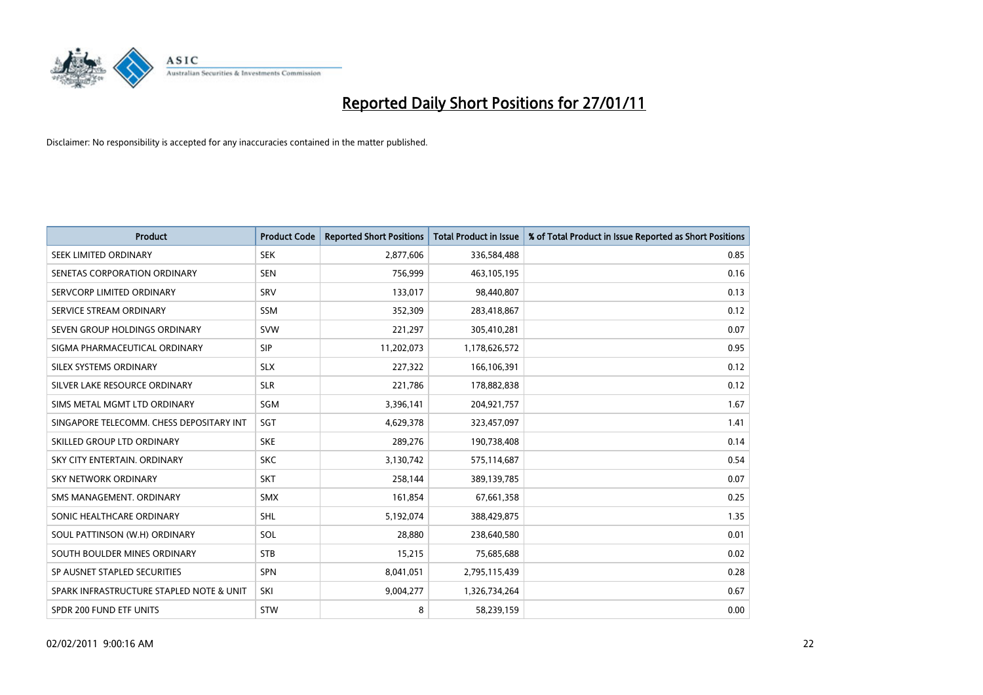

| <b>Product</b>                           | <b>Product Code</b> | <b>Reported Short Positions</b> | Total Product in Issue | % of Total Product in Issue Reported as Short Positions |
|------------------------------------------|---------------------|---------------------------------|------------------------|---------------------------------------------------------|
| SEEK LIMITED ORDINARY                    | <b>SEK</b>          | 2,877,606                       | 336,584,488            | 0.85                                                    |
| SENETAS CORPORATION ORDINARY             | <b>SEN</b>          | 756,999                         | 463,105,195            | 0.16                                                    |
| SERVCORP LIMITED ORDINARY                | SRV                 | 133,017                         | 98,440,807             | 0.13                                                    |
| SERVICE STREAM ORDINARY                  | <b>SSM</b>          | 352,309                         | 283,418,867            | 0.12                                                    |
| SEVEN GROUP HOLDINGS ORDINARY            | <b>SVW</b>          | 221,297                         | 305,410,281            | 0.07                                                    |
| SIGMA PHARMACEUTICAL ORDINARY            | <b>SIP</b>          | 11,202,073                      | 1,178,626,572          | 0.95                                                    |
| SILEX SYSTEMS ORDINARY                   | <b>SLX</b>          | 227,322                         | 166,106,391            | 0.12                                                    |
| SILVER LAKE RESOURCE ORDINARY            | <b>SLR</b>          | 221,786                         | 178,882,838            | 0.12                                                    |
| SIMS METAL MGMT LTD ORDINARY             | SGM                 | 3,396,141                       | 204,921,757            | 1.67                                                    |
| SINGAPORE TELECOMM. CHESS DEPOSITARY INT | SGT                 | 4,629,378                       | 323,457,097            | 1.41                                                    |
| SKILLED GROUP LTD ORDINARY               | <b>SKE</b>          | 289,276                         | 190,738,408            | 0.14                                                    |
| SKY CITY ENTERTAIN, ORDINARY             | <b>SKC</b>          | 3,130,742                       | 575,114,687            | 0.54                                                    |
| <b>SKY NETWORK ORDINARY</b>              | SKT                 | 258,144                         | 389,139,785            | 0.07                                                    |
| SMS MANAGEMENT, ORDINARY                 | <b>SMX</b>          | 161,854                         | 67,661,358             | 0.25                                                    |
| SONIC HEALTHCARE ORDINARY                | <b>SHL</b>          | 5,192,074                       | 388,429,875            | 1.35                                                    |
| SOUL PATTINSON (W.H) ORDINARY            | SOL                 | 28,880                          | 238,640,580            | 0.01                                                    |
| SOUTH BOULDER MINES ORDINARY             | <b>STB</b>          | 15,215                          | 75,685,688             | 0.02                                                    |
| SP AUSNET STAPLED SECURITIES             | <b>SPN</b>          | 8,041,051                       | 2,795,115,439          | 0.28                                                    |
| SPARK INFRASTRUCTURE STAPLED NOTE & UNIT | SKI                 | 9,004,277                       | 1,326,734,264          | 0.67                                                    |
| SPDR 200 FUND ETF UNITS                  | STW                 | 8                               | 58,239,159             | 0.00                                                    |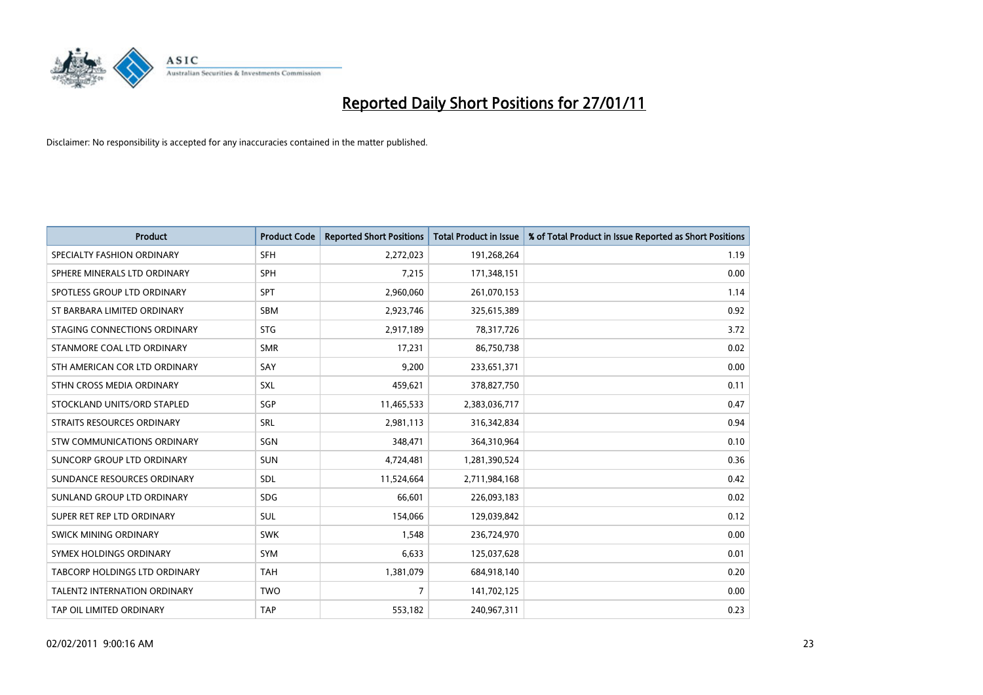

| <b>Product</b>                      | <b>Product Code</b> | <b>Reported Short Positions</b> | <b>Total Product in Issue</b> | % of Total Product in Issue Reported as Short Positions |
|-------------------------------------|---------------------|---------------------------------|-------------------------------|---------------------------------------------------------|
| SPECIALTY FASHION ORDINARY          | <b>SFH</b>          | 2,272,023                       | 191,268,264                   | 1.19                                                    |
| SPHERE MINERALS LTD ORDINARY        | <b>SPH</b>          | 7,215                           | 171,348,151                   | 0.00                                                    |
| SPOTLESS GROUP LTD ORDINARY         | <b>SPT</b>          | 2,960,060                       | 261,070,153                   | 1.14                                                    |
| ST BARBARA LIMITED ORDINARY         | <b>SBM</b>          | 2,923,746                       | 325,615,389                   | 0.92                                                    |
| STAGING CONNECTIONS ORDINARY        | <b>STG</b>          | 2,917,189                       | 78,317,726                    | 3.72                                                    |
| STANMORE COAL LTD ORDINARY          | <b>SMR</b>          | 17,231                          | 86,750,738                    | 0.02                                                    |
| STH AMERICAN COR LTD ORDINARY       | SAY                 | 9.200                           | 233,651,371                   | 0.00                                                    |
| STHN CROSS MEDIA ORDINARY           | <b>SXL</b>          | 459,621                         | 378,827,750                   | 0.11                                                    |
| STOCKLAND UNITS/ORD STAPLED         | SGP                 | 11,465,533                      | 2,383,036,717                 | 0.47                                                    |
| STRAITS RESOURCES ORDINARY          | <b>SRL</b>          | 2,981,113                       | 316,342,834                   | 0.94                                                    |
| STW COMMUNICATIONS ORDINARY         | SGN                 | 348,471                         | 364,310,964                   | 0.10                                                    |
| SUNCORP GROUP LTD ORDINARY          | <b>SUN</b>          | 4,724,481                       | 1,281,390,524                 | 0.36                                                    |
| SUNDANCE RESOURCES ORDINARY         | SDL                 | 11,524,664                      | 2,711,984,168                 | 0.42                                                    |
| SUNLAND GROUP LTD ORDINARY          | <b>SDG</b>          | 66.601                          | 226,093,183                   | 0.02                                                    |
| SUPER RET REP LTD ORDINARY          | SUL                 | 154,066                         | 129,039,842                   | 0.12                                                    |
| SWICK MINING ORDINARY               | <b>SWK</b>          | 1.548                           | 236,724,970                   | 0.00                                                    |
| SYMEX HOLDINGS ORDINARY             | <b>SYM</b>          | 6,633                           | 125,037,628                   | 0.01                                                    |
| TABCORP HOLDINGS LTD ORDINARY       | <b>TAH</b>          | 1,381,079                       | 684,918,140                   | 0.20                                                    |
| <b>TALENT2 INTERNATION ORDINARY</b> | <b>TWO</b>          | 7                               | 141,702,125                   | 0.00                                                    |
| TAP OIL LIMITED ORDINARY            | <b>TAP</b>          | 553,182                         | 240,967,311                   | 0.23                                                    |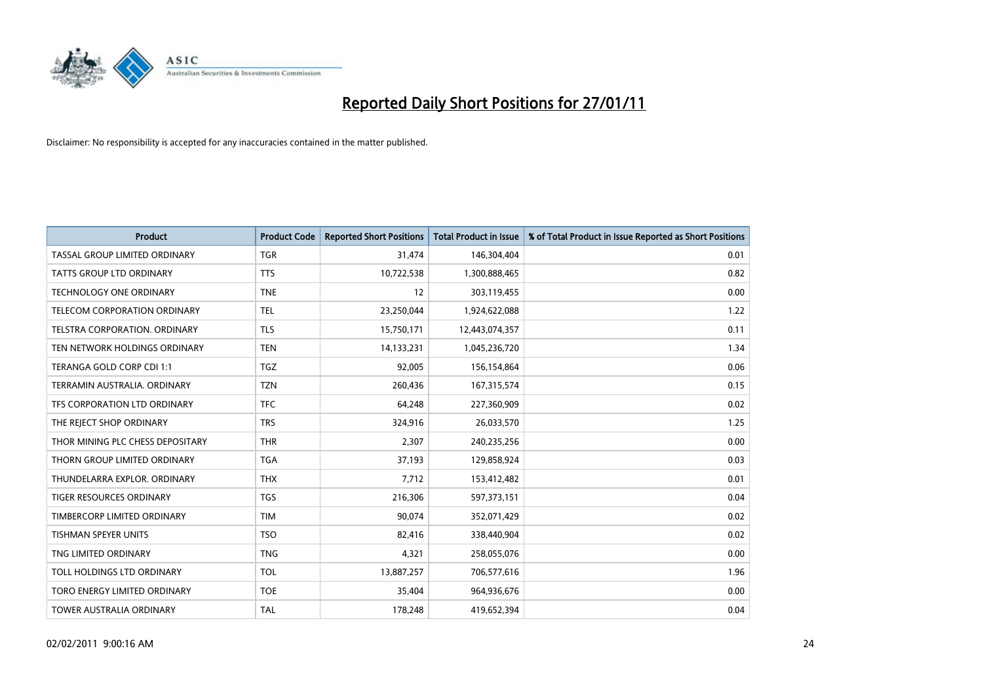

| <b>Product</b>                   | <b>Product Code</b> | <b>Reported Short Positions</b> | Total Product in Issue | % of Total Product in Issue Reported as Short Positions |
|----------------------------------|---------------------|---------------------------------|------------------------|---------------------------------------------------------|
| TASSAL GROUP LIMITED ORDINARY    | <b>TGR</b>          | 31,474                          | 146,304,404            | 0.01                                                    |
| TATTS GROUP LTD ORDINARY         | <b>TTS</b>          | 10,722,538                      | 1,300,888,465          | 0.82                                                    |
| <b>TECHNOLOGY ONE ORDINARY</b>   | <b>TNE</b>          | 12                              | 303,119,455            | 0.00                                                    |
| TELECOM CORPORATION ORDINARY     | <b>TEL</b>          | 23,250,044                      | 1,924,622,088          | 1.22                                                    |
| TELSTRA CORPORATION, ORDINARY    | <b>TLS</b>          | 15,750,171                      | 12,443,074,357         | 0.11                                                    |
| TEN NETWORK HOLDINGS ORDINARY    | <b>TEN</b>          | 14,133,231                      | 1,045,236,720          | 1.34                                                    |
| TERANGA GOLD CORP CDI 1:1        | <b>TGZ</b>          | 92,005                          | 156,154,864            | 0.06                                                    |
| TERRAMIN AUSTRALIA, ORDINARY     | <b>TZN</b>          | 260,436                         | 167,315,574            | 0.15                                                    |
| TFS CORPORATION LTD ORDINARY     | <b>TFC</b>          | 64,248                          | 227,360,909            | 0.02                                                    |
| THE REIECT SHOP ORDINARY         | <b>TRS</b>          | 324,916                         | 26,033,570             | 1.25                                                    |
| THOR MINING PLC CHESS DEPOSITARY | <b>THR</b>          | 2,307                           | 240,235,256            | 0.00                                                    |
| THORN GROUP LIMITED ORDINARY     | <b>TGA</b>          | 37,193                          | 129,858,924            | 0.03                                                    |
| THUNDELARRA EXPLOR. ORDINARY     | <b>THX</b>          | 7,712                           | 153,412,482            | 0.01                                                    |
| <b>TIGER RESOURCES ORDINARY</b>  | <b>TGS</b>          | 216,306                         | 597,373,151            | 0.04                                                    |
| TIMBERCORP LIMITED ORDINARY      | <b>TIM</b>          | 90,074                          | 352,071,429            | 0.02                                                    |
| <b>TISHMAN SPEYER UNITS</b>      | <b>TSO</b>          | 82,416                          | 338,440,904            | 0.02                                                    |
| TNG LIMITED ORDINARY             | <b>TNG</b>          | 4,321                           | 258,055,076            | 0.00                                                    |
| TOLL HOLDINGS LTD ORDINARY       | <b>TOL</b>          | 13,887,257                      | 706,577,616            | 1.96                                                    |
| TORO ENERGY LIMITED ORDINARY     | <b>TOE</b>          | 35,404                          | 964,936,676            | 0.00                                                    |
| <b>TOWER AUSTRALIA ORDINARY</b>  | <b>TAL</b>          | 178,248                         | 419,652,394            | 0.04                                                    |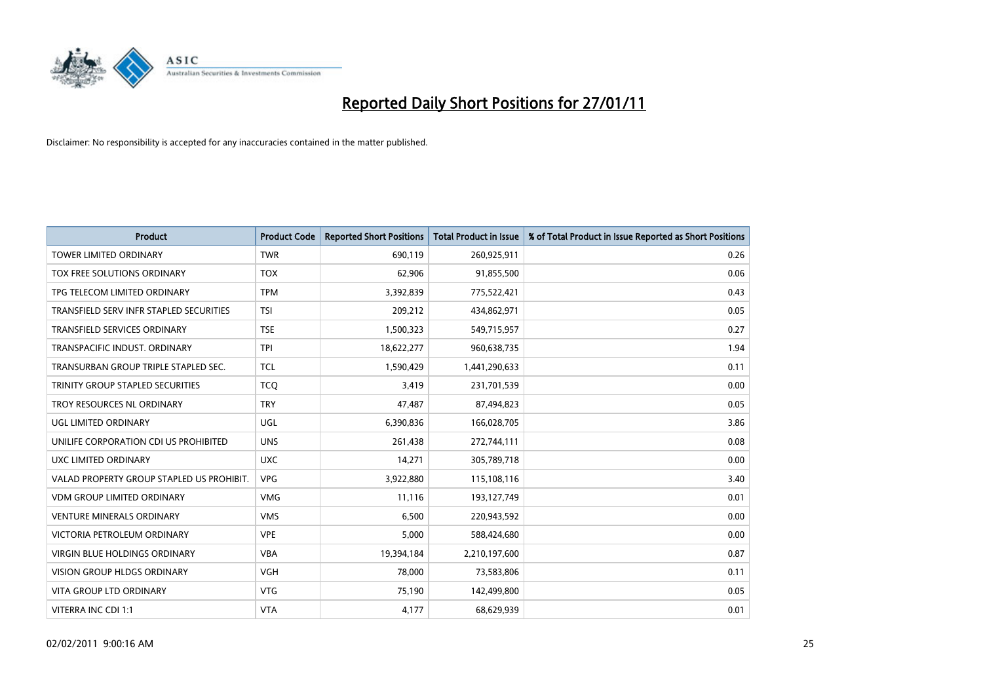

| Product                                   | <b>Product Code</b> | <b>Reported Short Positions</b> | <b>Total Product in Issue</b> | % of Total Product in Issue Reported as Short Positions |
|-------------------------------------------|---------------------|---------------------------------|-------------------------------|---------------------------------------------------------|
| <b>TOWER LIMITED ORDINARY</b>             | <b>TWR</b>          | 690,119                         | 260,925,911                   | 0.26                                                    |
| TOX FREE SOLUTIONS ORDINARY               | <b>TOX</b>          | 62,906                          | 91,855,500                    | 0.06                                                    |
| TPG TELECOM LIMITED ORDINARY              | <b>TPM</b>          | 3,392,839                       | 775,522,421                   | 0.43                                                    |
| TRANSFIELD SERV INFR STAPLED SECURITIES   | <b>TSI</b>          | 209,212                         | 434,862,971                   | 0.05                                                    |
| <b>TRANSFIELD SERVICES ORDINARY</b>       | <b>TSE</b>          | 1,500,323                       | 549,715,957                   | 0.27                                                    |
| TRANSPACIFIC INDUST, ORDINARY             | <b>TPI</b>          | 18,622,277                      | 960,638,735                   | 1.94                                                    |
| TRANSURBAN GROUP TRIPLE STAPLED SEC.      | <b>TCL</b>          | 1,590,429                       | 1,441,290,633                 | 0.11                                                    |
| <b>TRINITY GROUP STAPLED SECURITIES</b>   | <b>TCQ</b>          | 3,419                           | 231,701,539                   | 0.00                                                    |
| TROY RESOURCES NL ORDINARY                | <b>TRY</b>          | 47,487                          | 87,494,823                    | 0.05                                                    |
| UGL LIMITED ORDINARY                      | <b>UGL</b>          | 6,390,836                       | 166,028,705                   | 3.86                                                    |
| UNILIFE CORPORATION CDI US PROHIBITED     | <b>UNS</b>          | 261,438                         | 272,744,111                   | 0.08                                                    |
| UXC LIMITED ORDINARY                      | <b>UXC</b>          | 14,271                          | 305,789,718                   | 0.00                                                    |
| VALAD PROPERTY GROUP STAPLED US PROHIBIT. | <b>VPG</b>          | 3,922,880                       | 115,108,116                   | 3.40                                                    |
| <b>VDM GROUP LIMITED ORDINARY</b>         | <b>VMG</b>          | 11,116                          | 193,127,749                   | 0.01                                                    |
| <b>VENTURE MINERALS ORDINARY</b>          | <b>VMS</b>          | 6,500                           | 220,943,592                   | 0.00                                                    |
| VICTORIA PETROLEUM ORDINARY               | <b>VPE</b>          | 5,000                           | 588,424,680                   | 0.00                                                    |
| <b>VIRGIN BLUE HOLDINGS ORDINARY</b>      | <b>VBA</b>          | 19,394,184                      | 2,210,197,600                 | 0.87                                                    |
| VISION GROUP HLDGS ORDINARY               | <b>VGH</b>          | 78,000                          | 73,583,806                    | 0.11                                                    |
| <b>VITA GROUP LTD ORDINARY</b>            | <b>VTG</b>          | 75,190                          | 142,499,800                   | 0.05                                                    |
| VITERRA INC CDI 1:1                       | <b>VTA</b>          | 4,177                           | 68,629,939                    | 0.01                                                    |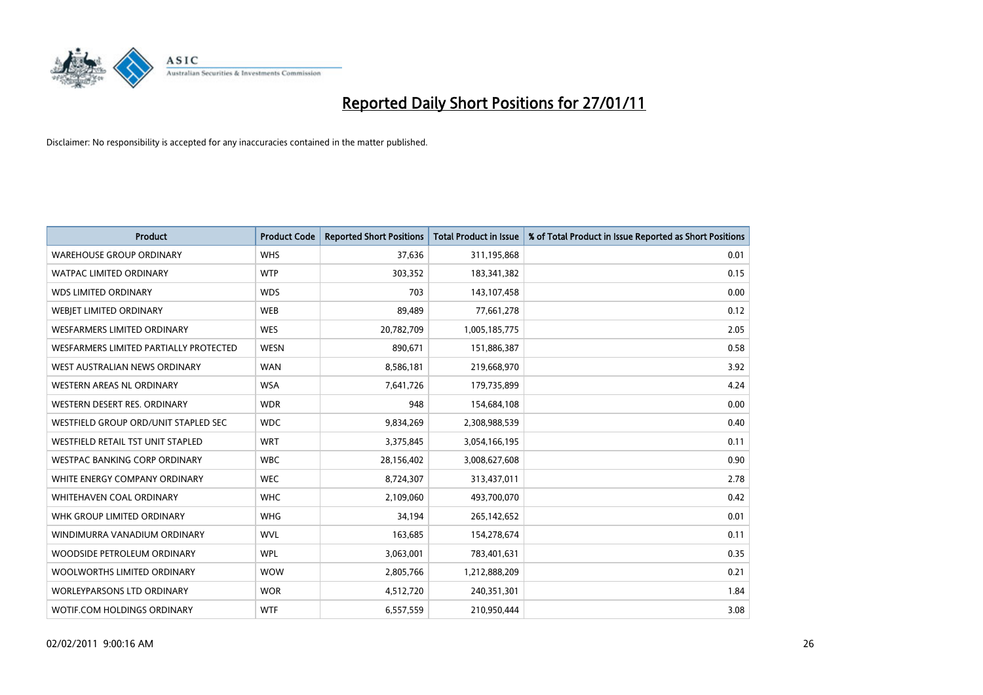

| <b>Product</b>                         | <b>Product Code</b> | <b>Reported Short Positions</b> | <b>Total Product in Issue</b> | % of Total Product in Issue Reported as Short Positions |
|----------------------------------------|---------------------|---------------------------------|-------------------------------|---------------------------------------------------------|
| <b>WAREHOUSE GROUP ORDINARY</b>        | <b>WHS</b>          | 37,636                          | 311,195,868                   | 0.01                                                    |
| <b>WATPAC LIMITED ORDINARY</b>         | <b>WTP</b>          | 303,352                         | 183,341,382                   | 0.15                                                    |
| <b>WDS LIMITED ORDINARY</b>            | <b>WDS</b>          | 703                             | 143,107,458                   | 0.00                                                    |
| WEBJET LIMITED ORDINARY                | <b>WEB</b>          | 89,489                          | 77,661,278                    | 0.12                                                    |
| <b>WESFARMERS LIMITED ORDINARY</b>     | WES                 | 20,782,709                      | 1,005,185,775                 | 2.05                                                    |
| WESFARMERS LIMITED PARTIALLY PROTECTED | <b>WESN</b>         | 890,671                         | 151,886,387                   | 0.58                                                    |
| WEST AUSTRALIAN NEWS ORDINARY          | <b>WAN</b>          | 8,586,181                       | 219,668,970                   | 3.92                                                    |
| <b>WESTERN AREAS NL ORDINARY</b>       | <b>WSA</b>          | 7,641,726                       | 179,735,899                   | 4.24                                                    |
| WESTERN DESERT RES. ORDINARY           | <b>WDR</b>          | 948                             | 154,684,108                   | 0.00                                                    |
| WESTFIELD GROUP ORD/UNIT STAPLED SEC   | <b>WDC</b>          | 9,834,269                       | 2,308,988,539                 | 0.40                                                    |
| WESTFIELD RETAIL TST UNIT STAPLED      | <b>WRT</b>          | 3,375,845                       | 3,054,166,195                 | 0.11                                                    |
| WESTPAC BANKING CORP ORDINARY          | <b>WBC</b>          | 28,156,402                      | 3,008,627,608                 | 0.90                                                    |
| WHITE ENERGY COMPANY ORDINARY          | <b>WEC</b>          | 8,724,307                       | 313,437,011                   | 2.78                                                    |
| <b>WHITEHAVEN COAL ORDINARY</b>        | <b>WHC</b>          | 2,109,060                       | 493,700,070                   | 0.42                                                    |
| WHK GROUP LIMITED ORDINARY             | <b>WHG</b>          | 34,194                          | 265,142,652                   | 0.01                                                    |
| WINDIMURRA VANADIUM ORDINARY           | <b>WVL</b>          | 163,685                         | 154,278,674                   | 0.11                                                    |
| WOODSIDE PETROLEUM ORDINARY            | <b>WPL</b>          | 3,063,001                       | 783,401,631                   | 0.35                                                    |
| WOOLWORTHS LIMITED ORDINARY            | <b>WOW</b>          | 2,805,766                       | 1,212,888,209                 | 0.21                                                    |
| <b>WORLEYPARSONS LTD ORDINARY</b>      | <b>WOR</b>          | 4,512,720                       | 240,351,301                   | 1.84                                                    |
| WOTIF.COM HOLDINGS ORDINARY            | <b>WTF</b>          | 6,557,559                       | 210,950,444                   | 3.08                                                    |